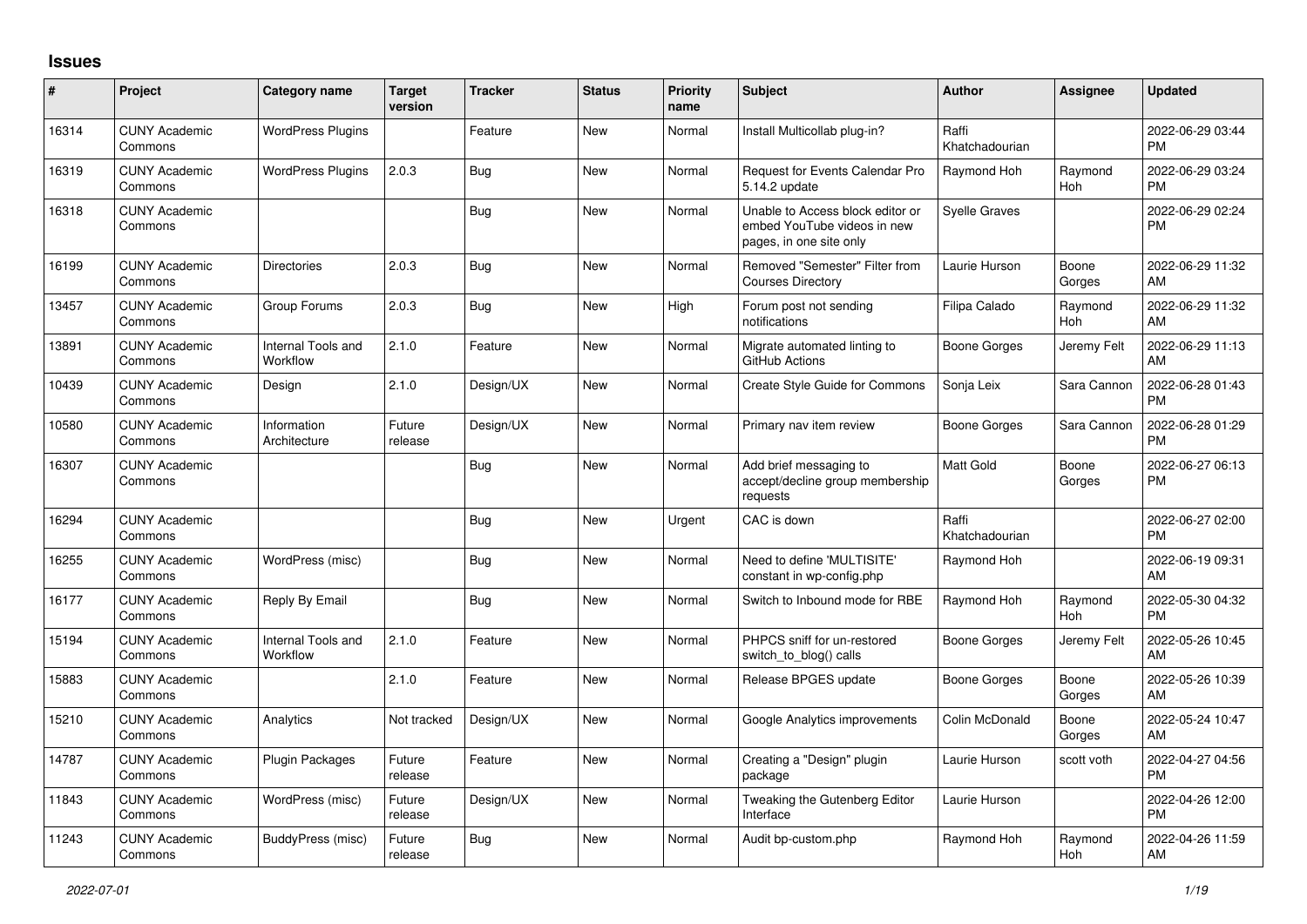## **Issues**

| #     | Project                         | <b>Category name</b>           | <b>Target</b><br>version | <b>Tracker</b> | <b>Status</b> | <b>Priority</b><br>name | <b>Subject</b>                                                                             | <b>Author</b>           | <b>Assignee</b> | <b>Updated</b>                |
|-------|---------------------------------|--------------------------------|--------------------------|----------------|---------------|-------------------------|--------------------------------------------------------------------------------------------|-------------------------|-----------------|-------------------------------|
| 16314 | <b>CUNY Academic</b><br>Commons | <b>WordPress Plugins</b>       |                          | Feature        | New           | Normal                  | Install Multicollab plug-in?                                                               | Raffi<br>Khatchadourian |                 | 2022-06-29 03:44<br><b>PM</b> |
| 16319 | <b>CUNY Academic</b><br>Commons | <b>WordPress Plugins</b>       | 2.0.3                    | Bug            | New           | Normal                  | <b>Request for Events Calendar Pro</b><br>5.14.2 update                                    | Raymond Hoh             | Raymond<br>Hoh  | 2022-06-29 03:24<br><b>PM</b> |
| 16318 | <b>CUNY Academic</b><br>Commons |                                |                          | Bug            | <b>New</b>    | Normal                  | Unable to Access block editor or<br>embed YouTube videos in new<br>pages, in one site only | <b>Syelle Graves</b>    |                 | 2022-06-29 02:24<br><b>PM</b> |
| 16199 | <b>CUNY Academic</b><br>Commons | <b>Directories</b>             | 2.0.3                    | <b>Bug</b>     | <b>New</b>    | Normal                  | Removed "Semester" Filter from<br><b>Courses Directory</b>                                 | Laurie Hurson           | Boone<br>Gorges | 2022-06-29 11:32<br>AM        |
| 13457 | <b>CUNY Academic</b><br>Commons | Group Forums                   | 2.0.3                    | <b>Bug</b>     | <b>New</b>    | High                    | Forum post not sending<br>notifications                                                    | Filipa Calado           | Raymond<br>Hoh  | 2022-06-29 11:32<br>AM        |
| 13891 | <b>CUNY Academic</b><br>Commons | Internal Tools and<br>Workflow | 2.1.0                    | Feature        | <b>New</b>    | Normal                  | Migrate automated linting to<br>GitHub Actions                                             | Boone Gorges            | Jeremy Felt     | 2022-06-29 11:13<br>AM        |
| 10439 | <b>CUNY Academic</b><br>Commons | Design                         | 2.1.0                    | Design/UX      | New           | Normal                  | Create Style Guide for Commons                                                             | Sonja Leix              | Sara Cannon     | 2022-06-28 01:43<br><b>PM</b> |
| 10580 | <b>CUNY Academic</b><br>Commons | Information<br>Architecture    | Future<br>release        | Design/UX      | New           | Normal                  | Primary nav item review                                                                    | Boone Gorges            | Sara Cannon     | 2022-06-28 01:29<br><b>PM</b> |
| 16307 | <b>CUNY Academic</b><br>Commons |                                |                          | Bug            | New           | Normal                  | Add brief messaging to<br>accept/decline group membership<br>requests                      | <b>Matt Gold</b>        | Boone<br>Gorges | 2022-06-27 06:13<br><b>PM</b> |
| 16294 | <b>CUNY Academic</b><br>Commons |                                |                          | Bug            | New           | Urgent                  | CAC is down                                                                                | Raffi<br>Khatchadourian |                 | 2022-06-27 02:00<br><b>PM</b> |
| 16255 | <b>CUNY Academic</b><br>Commons | WordPress (misc)               |                          | Bug            | <b>New</b>    | Normal                  | Need to define 'MULTISITE'<br>constant in wp-config.php                                    | Raymond Hoh             |                 | 2022-06-19 09:31<br>AM        |
| 16177 | <b>CUNY Academic</b><br>Commons | Reply By Email                 |                          | Bug            | <b>New</b>    | Normal                  | Switch to Inbound mode for RBE                                                             | Raymond Hoh             | Raymond<br>Hoh  | 2022-05-30 04:32<br><b>PM</b> |
| 15194 | <b>CUNY Academic</b><br>Commons | Internal Tools and<br>Workflow | 2.1.0                    | Feature        | New           | Normal                  | PHPCS sniff for un-restored<br>switch to blog() calls                                      | Boone Gorges            | Jeremy Felt     | 2022-05-26 10:45<br>AM        |
| 15883 | <b>CUNY Academic</b><br>Commons |                                | 2.1.0                    | Feature        | New           | Normal                  | Release BPGES update                                                                       | Boone Gorges            | Boone<br>Gorges | 2022-05-26 10:39<br>AM        |
| 15210 | <b>CUNY Academic</b><br>Commons | Analytics                      | Not tracked              | Design/UX      | New           | Normal                  | Google Analytics improvements                                                              | Colin McDonald          | Boone<br>Gorges | 2022-05-24 10:47<br>AM        |
| 14787 | <b>CUNY Academic</b><br>Commons | Plugin Packages                | Future<br>release        | Feature        | New           | Normal                  | Creating a "Design" plugin<br>package                                                      | Laurie Hurson           | scott voth      | 2022-04-27 04:56<br><b>PM</b> |
| 11843 | <b>CUNY Academic</b><br>Commons | WordPress (misc)               | Future<br>release        | Design/UX      | <b>New</b>    | Normal                  | Tweaking the Gutenberg Editor<br>Interface                                                 | Laurie Hurson           |                 | 2022-04-26 12:00<br><b>PM</b> |
| 11243 | <b>CUNY Academic</b><br>Commons | BuddyPress (misc)              | Future<br>release        | Bug            | <b>New</b>    | Normal                  | Audit bp-custom.php                                                                        | Raymond Hoh             | Raymond<br>Hoh  | 2022-04-26 11:59<br>AM        |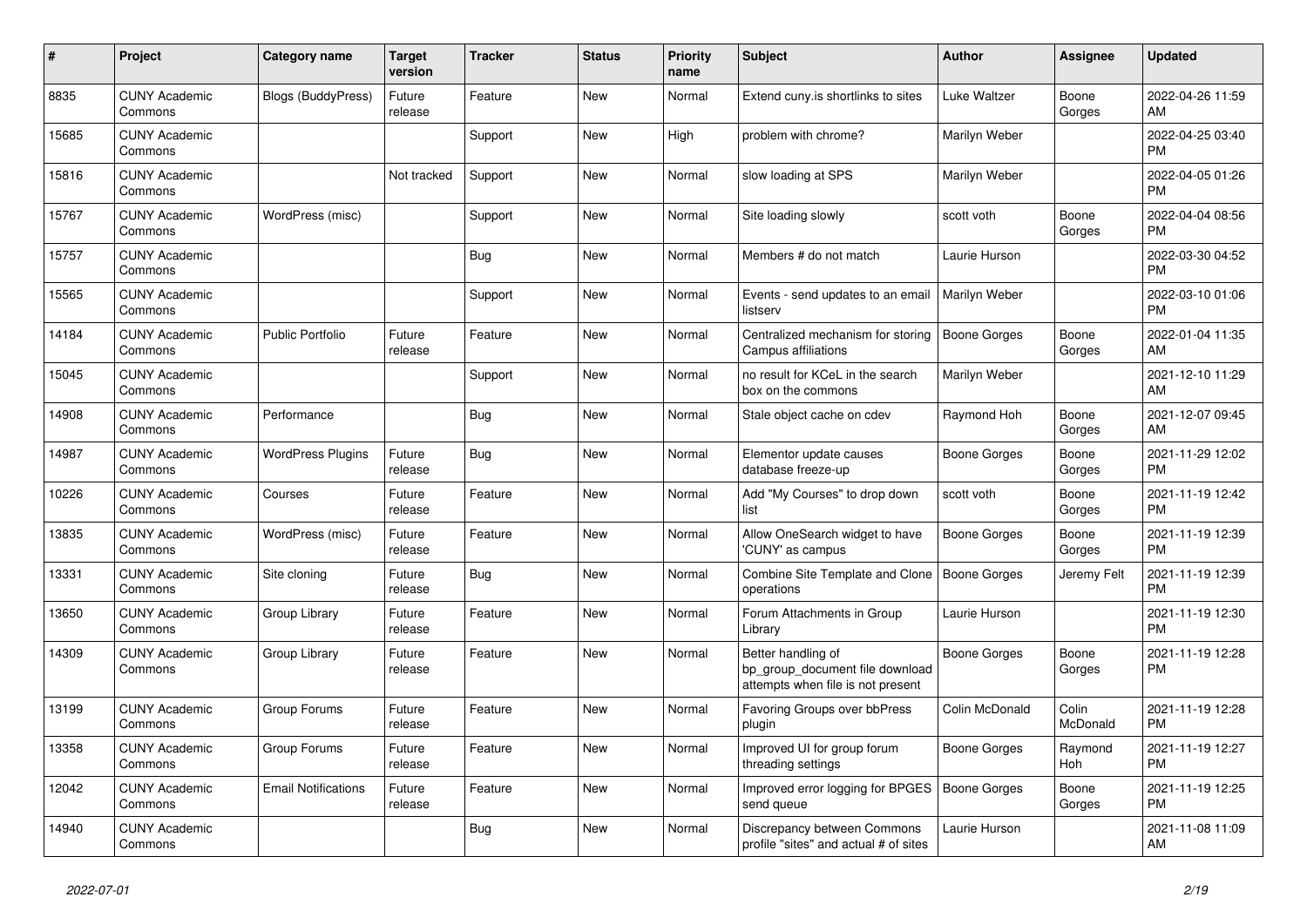| #     | Project                         | <b>Category name</b>       | Target<br>version | <b>Tracker</b> | <b>Status</b> | <b>Priority</b><br>name | <b>Subject</b>                                                                             | <b>Author</b>       | Assignee          | <b>Updated</b>                |
|-------|---------------------------------|----------------------------|-------------------|----------------|---------------|-------------------------|--------------------------------------------------------------------------------------------|---------------------|-------------------|-------------------------------|
| 8835  | <b>CUNY Academic</b><br>Commons | Blogs (BuddyPress)         | Future<br>release | Feature        | New           | Normal                  | Extend cuny is shortlinks to sites                                                         | Luke Waltzer        | Boone<br>Gorges   | 2022-04-26 11:59<br>AM.       |
| 15685 | <b>CUNY Academic</b><br>Commons |                            |                   | Support        | New           | High                    | problem with chrome?                                                                       | Marilyn Weber       |                   | 2022-04-25 03:40<br><b>PM</b> |
| 15816 | <b>CUNY Academic</b><br>Commons |                            | Not tracked       | Support        | <b>New</b>    | Normal                  | slow loading at SPS                                                                        | Marilyn Weber       |                   | 2022-04-05 01:26<br><b>PM</b> |
| 15767 | <b>CUNY Academic</b><br>Commons | WordPress (misc)           |                   | Support        | <b>New</b>    | Normal                  | Site loading slowly                                                                        | scott voth          | Boone<br>Gorges   | 2022-04-04 08:56<br><b>PM</b> |
| 15757 | <b>CUNY Academic</b><br>Commons |                            |                   | Bug            | New           | Normal                  | Members # do not match                                                                     | Laurie Hurson       |                   | 2022-03-30 04:52<br><b>PM</b> |
| 15565 | <b>CUNY Academic</b><br>Commons |                            |                   | Support        | New           | Normal                  | Events - send updates to an email<br>listserv                                              | Marilyn Weber       |                   | 2022-03-10 01:06<br><b>PM</b> |
| 14184 | <b>CUNY Academic</b><br>Commons | <b>Public Portfolio</b>    | Future<br>release | Feature        | <b>New</b>    | Normal                  | Centralized mechanism for storing<br>Campus affiliations                                   | <b>Boone Gorges</b> | Boone<br>Gorges   | 2022-01-04 11:35<br>AM        |
| 15045 | <b>CUNY Academic</b><br>Commons |                            |                   | Support        | <b>New</b>    | Normal                  | no result for KCeL in the search<br>box on the commons                                     | Marilyn Weber       |                   | 2021-12-10 11:29<br>AM        |
| 14908 | <b>CUNY Academic</b><br>Commons | Performance                |                   | Bug            | New           | Normal                  | Stale object cache on cdev                                                                 | Raymond Hoh         | Boone<br>Gorges   | 2021-12-07 09:45<br>AM        |
| 14987 | <b>CUNY Academic</b><br>Commons | <b>WordPress Plugins</b>   | Future<br>release | Bug            | New           | Normal                  | Elementor update causes<br>database freeze-up                                              | Boone Gorges        | Boone<br>Gorges   | 2021-11-29 12:02<br><b>PM</b> |
| 10226 | <b>CUNY Academic</b><br>Commons | Courses                    | Future<br>release | Feature        | <b>New</b>    | Normal                  | Add "My Courses" to drop down<br>list                                                      | scott voth          | Boone<br>Gorges   | 2021-11-19 12:42<br><b>PM</b> |
| 13835 | <b>CUNY Academic</b><br>Commons | WordPress (misc)           | Future<br>release | Feature        | New           | Normal                  | Allow OneSearch widget to have<br>'CUNY' as campus                                         | Boone Gorges        | Boone<br>Gorges   | 2021-11-19 12:39<br><b>PM</b> |
| 13331 | <b>CUNY Academic</b><br>Commons | Site cloning               | Future<br>release | Bug            | New           | Normal                  | Combine Site Template and Clone   Boone Gorges<br>operations                               |                     | Jeremy Felt       | 2021-11-19 12:39<br><b>PM</b> |
| 13650 | <b>CUNY Academic</b><br>Commons | Group Library              | Future<br>release | Feature        | <b>New</b>    | Normal                  | Forum Attachments in Group<br>Library                                                      | Laurie Hurson       |                   | 2021-11-19 12:30<br>PM        |
| 14309 | <b>CUNY Academic</b><br>Commons | Group Library              | Future<br>release | Feature        | <b>New</b>    | Normal                  | Better handling of<br>bp group document file download<br>attempts when file is not present | Boone Gorges        | Boone<br>Gorges   | 2021-11-19 12:28<br>PM        |
| 13199 | <b>CUNY Academic</b><br>Commons | Group Forums               | Future<br>release | Feature        | New           | Normal                  | Favoring Groups over bbPress<br>plugin                                                     | Colin McDonald      | Colin<br>McDonald | 2021-11-19 12:28<br><b>PM</b> |
| 13358 | <b>CUNY Academic</b><br>Commons | Group Forums               | Future<br>release | Feature        | <b>New</b>    | Normal                  | Improved UI for group forum<br>threading settings                                          | Boone Gorges        | Raymond<br>Hoh    | 2021-11-19 12:27<br><b>PM</b> |
| 12042 | <b>CUNY Academic</b><br>Commons | <b>Email Notifications</b> | Future<br>release | Feature        | New           | Normal                  | Improved error logging for BPGES<br>send queue                                             | <b>Boone Gorges</b> | Boone<br>Gorges   | 2021-11-19 12:25<br><b>PM</b> |
| 14940 | <b>CUNY Academic</b><br>Commons |                            |                   | Bug            | <b>New</b>    | Normal                  | Discrepancy between Commons<br>profile "sites" and actual # of sites                       | Laurie Hurson       |                   | 2021-11-08 11:09<br>AM        |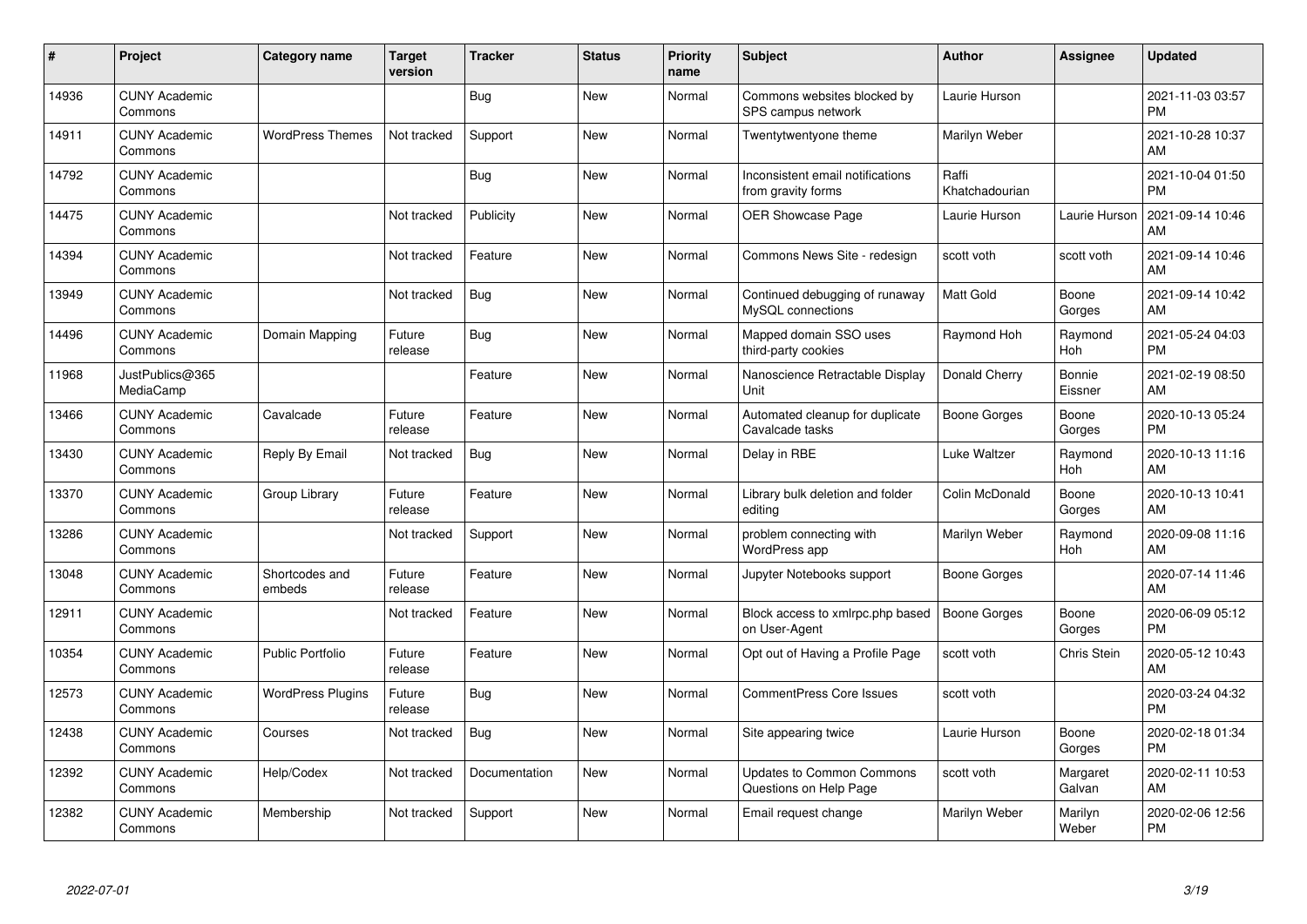| #     | Project                         | <b>Category name</b>     | <b>Target</b><br>version | <b>Tracker</b> | <b>Status</b> | <b>Priority</b><br>name | <b>Subject</b>                                             | <b>Author</b>           | <b>Assignee</b>    | <b>Updated</b>                |
|-------|---------------------------------|--------------------------|--------------------------|----------------|---------------|-------------------------|------------------------------------------------------------|-------------------------|--------------------|-------------------------------|
| 14936 | <b>CUNY Academic</b><br>Commons |                          |                          | <b>Bug</b>     | <b>New</b>    | Normal                  | Commons websites blocked by<br>SPS campus network          | Laurie Hurson           |                    | 2021-11-03 03:57<br><b>PM</b> |
| 14911 | <b>CUNY Academic</b><br>Commons | <b>WordPress Themes</b>  | Not tracked              | Support        | <b>New</b>    | Normal                  | Twentytwentyone theme                                      | Marilyn Weber           |                    | 2021-10-28 10:37<br>AM        |
| 14792 | <b>CUNY Academic</b><br>Commons |                          |                          | Bug            | <b>New</b>    | Normal                  | Inconsistent email notifications<br>from gravity forms     | Raffi<br>Khatchadourian |                    | 2021-10-04 01:50<br><b>PM</b> |
| 14475 | <b>CUNY Academic</b><br>Commons |                          | Not tracked              | Publicity      | <b>New</b>    | Normal                  | <b>OER Showcase Page</b>                                   | Laurie Hurson           | Laurie Hurson      | 2021-09-14 10:46<br>AM        |
| 14394 | <b>CUNY Academic</b><br>Commons |                          | Not tracked              | Feature        | New           | Normal                  | Commons News Site - redesign                               | scott voth              | scott voth         | 2021-09-14 10:46<br>AM        |
| 13949 | <b>CUNY Academic</b><br>Commons |                          | Not tracked              | <b>Bug</b>     | <b>New</b>    | Normal                  | Continued debugging of runaway<br>MySQL connections        | <b>Matt Gold</b>        | Boone<br>Gorges    | 2021-09-14 10:42<br>AM        |
| 14496 | <b>CUNY Academic</b><br>Commons | Domain Mapping           | Future<br>release        | Bug            | New           | Normal                  | Mapped domain SSO uses<br>third-party cookies              | Raymond Hoh             | Raymond<br>Hoh     | 2021-05-24 04:03<br><b>PM</b> |
| 11968 | JustPublics@365<br>MediaCamp    |                          |                          | Feature        | New           | Normal                  | Nanoscience Retractable Display<br>Unit                    | Donald Cherry           | Bonnie<br>Eissner  | 2021-02-19 08:50<br>AM        |
| 13466 | <b>CUNY Academic</b><br>Commons | Cavalcade                | Future<br>release        | Feature        | New           | Normal                  | Automated cleanup for duplicate<br>Cavalcade tasks         | Boone Gorges            | Boone<br>Gorges    | 2020-10-13 05:24<br><b>PM</b> |
| 13430 | <b>CUNY Academic</b><br>Commons | Reply By Email           | Not tracked              | Bug            | New           | Normal                  | Delay in RBE                                               | Luke Waltzer            | Raymond<br>Hoh     | 2020-10-13 11:16<br>AM        |
| 13370 | <b>CUNY Academic</b><br>Commons | Group Library            | Future<br>release        | Feature        | New           | Normal                  | Library bulk deletion and folder<br>editing                | Colin McDonald          | Boone<br>Gorges    | 2020-10-13 10:41<br>AM        |
| 13286 | <b>CUNY Academic</b><br>Commons |                          | Not tracked              | Support        | New           | Normal                  | problem connecting with<br>WordPress app                   | Marilyn Weber           | Raymond<br>Hoh     | 2020-09-08 11:16<br>AM        |
| 13048 | <b>CUNY Academic</b><br>Commons | Shortcodes and<br>embeds | Future<br>release        | Feature        | <b>New</b>    | Normal                  | Jupyter Notebooks support                                  | Boone Gorges            |                    | 2020-07-14 11:46<br>AM        |
| 12911 | <b>CUNY Academic</b><br>Commons |                          | Not tracked              | Feature        | New           | Normal                  | Block access to xmlrpc.php based<br>on User-Agent          | <b>Boone Gorges</b>     | Boone<br>Gorges    | 2020-06-09 05:12<br><b>PM</b> |
| 10354 | <b>CUNY Academic</b><br>Commons | <b>Public Portfolio</b>  | Future<br>release        | Feature        | <b>New</b>    | Normal                  | Opt out of Having a Profile Page                           | scott voth              | Chris Stein        | 2020-05-12 10:43<br>AM        |
| 12573 | <b>CUNY Academic</b><br>Commons | <b>WordPress Plugins</b> | Future<br>release        | Bug            | New           | Normal                  | <b>CommentPress Core Issues</b>                            | scott voth              |                    | 2020-03-24 04:32<br><b>PM</b> |
| 12438 | <b>CUNY Academic</b><br>Commons | Courses                  | Not tracked              | Bug            | <b>New</b>    | Normal                  | Site appearing twice                                       | Laurie Hurson           | Boone<br>Gorges    | 2020-02-18 01:34<br><b>PM</b> |
| 12392 | <b>CUNY Academic</b><br>Commons | Help/Codex               | Not tracked              | Documentation  | <b>New</b>    | Normal                  | <b>Updates to Common Commons</b><br>Questions on Help Page | scott voth              | Margaret<br>Galvan | 2020-02-11 10:53<br>AM        |
| 12382 | <b>CUNY Academic</b><br>Commons | Membership               | Not tracked              | Support        | <b>New</b>    | Normal                  | Email request change                                       | Marilyn Weber           | Marilyn<br>Weber   | 2020-02-06 12:56<br><b>PM</b> |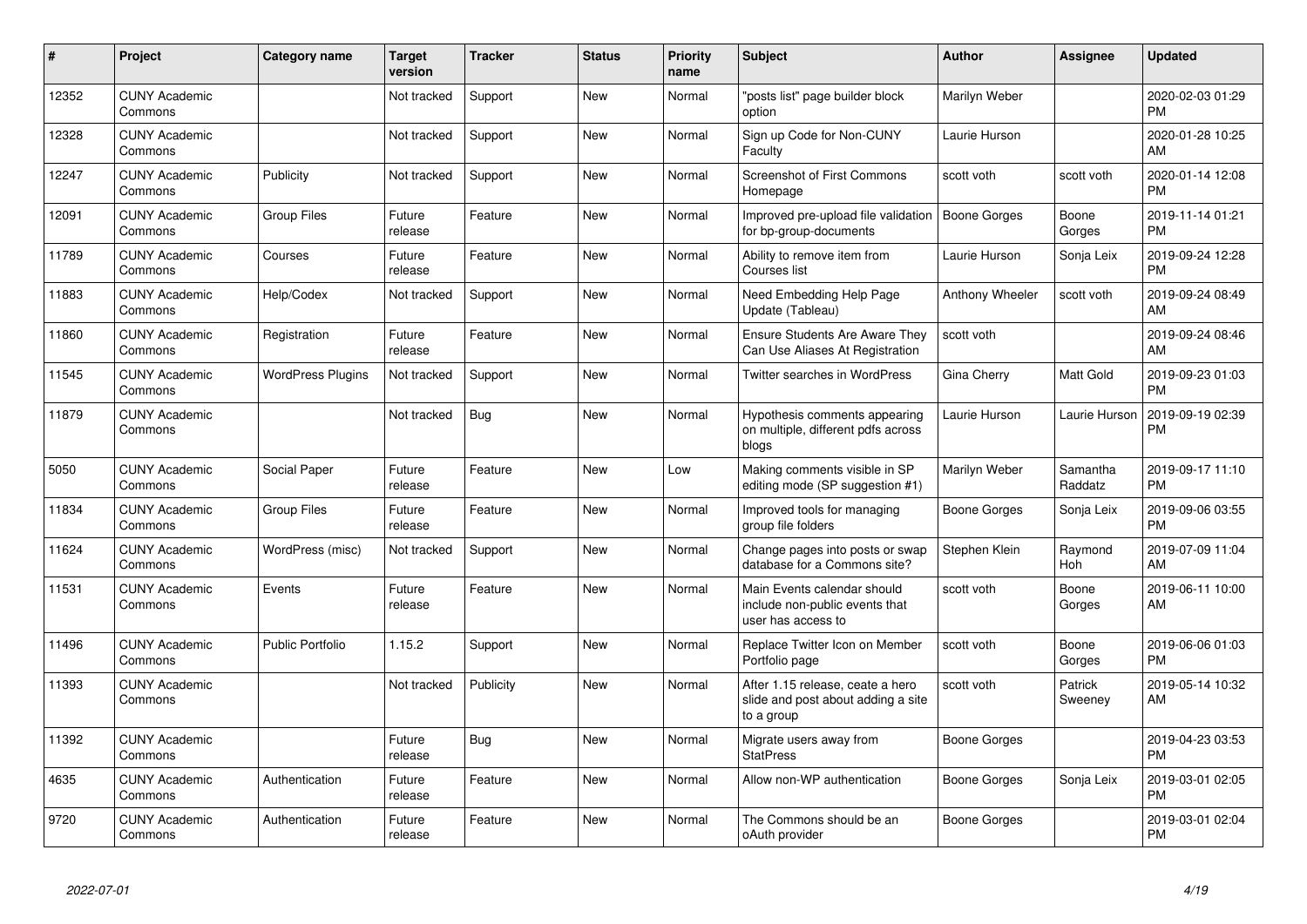| $\pmb{\sharp}$ | Project                         | Category name            | <b>Target</b><br>version | <b>Tracker</b> | <b>Status</b> | <b>Priority</b><br>name | <b>Subject</b>                                                                       | <b>Author</b>   | Assignee            | <b>Updated</b>                |
|----------------|---------------------------------|--------------------------|--------------------------|----------------|---------------|-------------------------|--------------------------------------------------------------------------------------|-----------------|---------------------|-------------------------------|
| 12352          | <b>CUNY Academic</b><br>Commons |                          | Not tracked              | Support        | <b>New</b>    | Normal                  | "posts list" page builder block<br>option                                            | Marilyn Weber   |                     | 2020-02-03 01:29<br><b>PM</b> |
| 12328          | <b>CUNY Academic</b><br>Commons |                          | Not tracked              | Support        | <b>New</b>    | Normal                  | Sign up Code for Non-CUNY<br>Faculty                                                 | Laurie Hurson   |                     | 2020-01-28 10:25<br>AM        |
| 12247          | <b>CUNY Academic</b><br>Commons | Publicity                | Not tracked              | Support        | <b>New</b>    | Normal                  | <b>Screenshot of First Commons</b><br>Homepage                                       | scott voth      | scott voth          | 2020-01-14 12:08<br><b>PM</b> |
| 12091          | <b>CUNY Academic</b><br>Commons | <b>Group Files</b>       | Future<br>release        | Feature        | New           | Normal                  | Improved pre-upload file validation<br>for bp-group-documents                        | Boone Gorges    | Boone<br>Gorges     | 2019-11-14 01:21<br><b>PM</b> |
| 11789          | <b>CUNY Academic</b><br>Commons | Courses                  | Future<br>release        | Feature        | New           | Normal                  | Ability to remove item from<br>Courses list                                          | Laurie Hurson   | Sonja Leix          | 2019-09-24 12:28<br><b>PM</b> |
| 11883          | <b>CUNY Academic</b><br>Commons | Help/Codex               | Not tracked              | Support        | New           | Normal                  | Need Embedding Help Page<br>Update (Tableau)                                         | Anthony Wheeler | scott voth          | 2019-09-24 08:49<br>AM        |
| 11860          | <b>CUNY Academic</b><br>Commons | Registration             | Future<br>release        | Feature        | <b>New</b>    | Normal                  | <b>Ensure Students Are Aware They</b><br>Can Use Aliases At Registration             | scott voth      |                     | 2019-09-24 08:46<br>AM        |
| 11545          | <b>CUNY Academic</b><br>Commons | <b>WordPress Plugins</b> | Not tracked              | Support        | <b>New</b>    | Normal                  | <b>Twitter searches in WordPress</b>                                                 | Gina Cherry     | Matt Gold           | 2019-09-23 01:03<br><b>PM</b> |
| 11879          | <b>CUNY Academic</b><br>Commons |                          | Not tracked              | Bug            | <b>New</b>    | Normal                  | Hypothesis comments appearing<br>on multiple, different pdfs across<br>blogs         | Laurie Hurson   | Laurie Hurson       | 2019-09-19 02:39<br><b>PM</b> |
| 5050           | <b>CUNY Academic</b><br>Commons | Social Paper             | Future<br>release        | Feature        | New           | Low                     | Making comments visible in SP<br>editing mode (SP suggestion #1)                     | Marilyn Weber   | Samantha<br>Raddatz | 2019-09-17 11:10<br><b>PM</b> |
| 11834          | <b>CUNY Academic</b><br>Commons | <b>Group Files</b>       | Future<br>release        | Feature        | New           | Normal                  | Improved tools for managing<br>group file folders                                    | Boone Gorges    | Sonja Leix          | 2019-09-06 03:55<br><b>PM</b> |
| 11624          | <b>CUNY Academic</b><br>Commons | WordPress (misc)         | Not tracked              | Support        | <b>New</b>    | Normal                  | Change pages into posts or swap<br>database for a Commons site?                      | Stephen Klein   | Raymond<br>Hoh      | 2019-07-09 11:04<br>AM        |
| 11531          | <b>CUNY Academic</b><br>Commons | Events                   | Future<br>release        | Feature        | <b>New</b>    | Normal                  | Main Events calendar should<br>include non-public events that<br>user has access to  | scott voth      | Boone<br>Gorges     | 2019-06-11 10:00<br>AM        |
| 11496          | <b>CUNY Academic</b><br>Commons | <b>Public Portfolio</b>  | 1.15.2                   | Support        | New           | Normal                  | Replace Twitter Icon on Member<br>Portfolio page                                     | scott voth      | Boone<br>Gorges     | 2019-06-06 01:03<br><b>PM</b> |
| 11393          | <b>CUNY Academic</b><br>Commons |                          | Not tracked              | Publicity      | New           | Normal                  | After 1.15 release, ceate a hero<br>slide and post about adding a site<br>to a group | scott voth      | Patrick<br>Sweeney  | 2019-05-14 10:32<br>AM        |
| 11392          | <b>CUNY Academic</b><br>Commons |                          | Future<br>release        | Bug            | New           | Normal                  | Migrate users away from<br><b>StatPress</b>                                          | Boone Gorges    |                     | 2019-04-23 03:53<br><b>PM</b> |
| 4635           | <b>CUNY Academic</b><br>Commons | Authentication           | Future<br>release        | Feature        | <b>New</b>    | Normal                  | Allow non-WP authentication                                                          | Boone Gorges    | Sonja Leix          | 2019-03-01 02:05<br><b>PM</b> |
| 9720           | <b>CUNY Academic</b><br>Commons | Authentication           | Future<br>release        | Feature        | <b>New</b>    | Normal                  | The Commons should be an<br>oAuth provider                                           | Boone Gorges    |                     | 2019-03-01 02:04<br><b>PM</b> |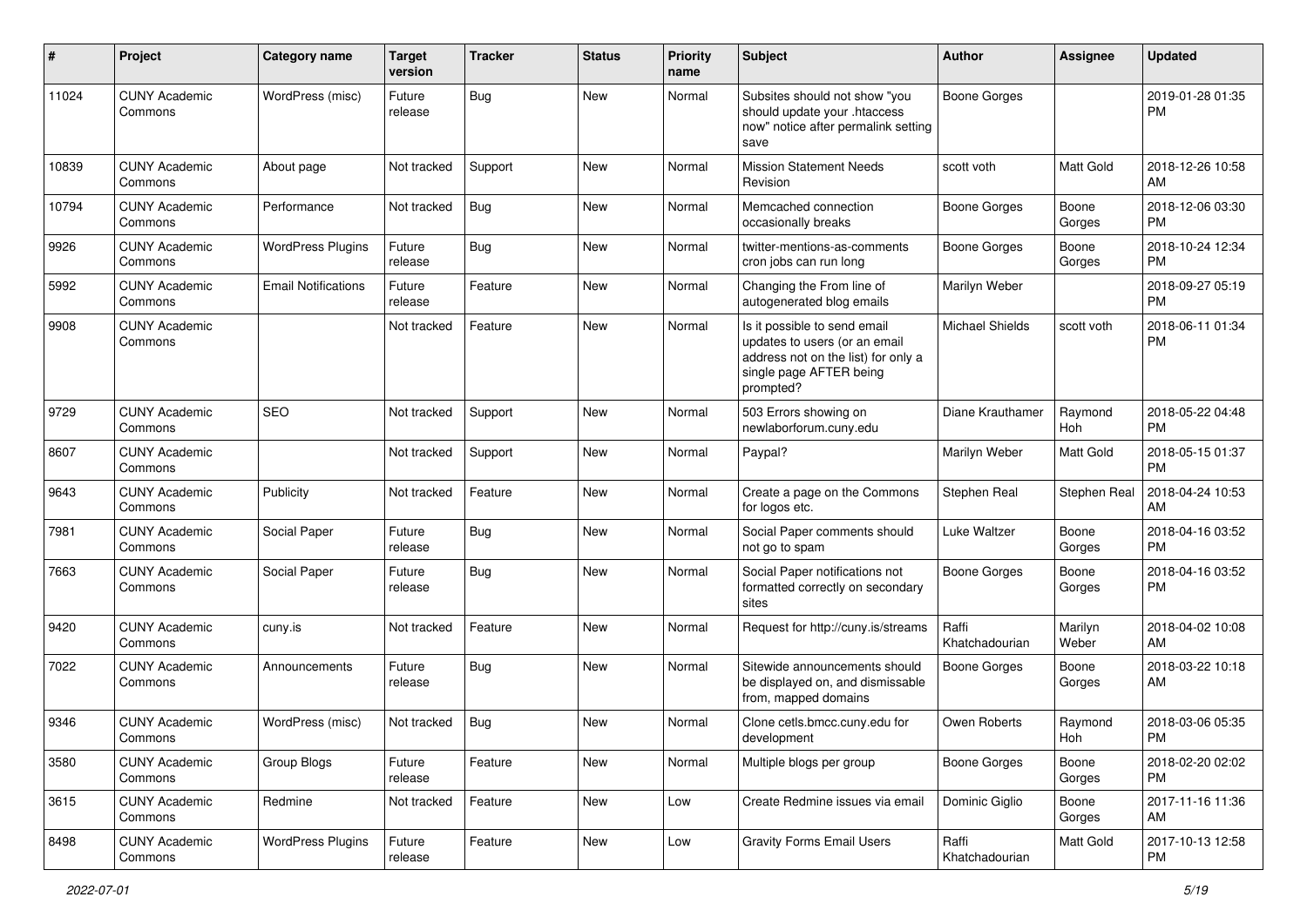| #     | Project                         | <b>Category name</b>       | <b>Target</b><br>version | <b>Tracker</b> | <b>Status</b> | <b>Priority</b><br>name | <b>Subject</b>                                                                                                                               | Author                  | <b>Assignee</b>  | <b>Updated</b>                |
|-------|---------------------------------|----------------------------|--------------------------|----------------|---------------|-------------------------|----------------------------------------------------------------------------------------------------------------------------------------------|-------------------------|------------------|-------------------------------|
| 11024 | <b>CUNY Academic</b><br>Commons | WordPress (misc)           | Future<br>release        | Bug            | New           | Normal                  | Subsites should not show "you<br>should update your .htaccess<br>now" notice after permalink setting<br>save                                 | Boone Gorges            |                  | 2019-01-28 01:35<br><b>PM</b> |
| 10839 | <b>CUNY Academic</b><br>Commons | About page                 | Not tracked              | Support        | New           | Normal                  | <b>Mission Statement Needs</b><br>Revision                                                                                                   | scott voth              | Matt Gold        | 2018-12-26 10:58<br>AM        |
| 10794 | <b>CUNY Academic</b><br>Commons | Performance                | Not tracked              | <b>Bug</b>     | <b>New</b>    | Normal                  | Memcached connection<br>occasionally breaks                                                                                                  | <b>Boone Gorges</b>     | Boone<br>Gorges  | 2018-12-06 03:30<br>PM.       |
| 9926  | <b>CUNY Academic</b><br>Commons | <b>WordPress Plugins</b>   | Future<br>release        | Bug            | New           | Normal                  | twitter-mentions-as-comments<br>cron jobs can run long                                                                                       | <b>Boone Gorges</b>     | Boone<br>Gorges  | 2018-10-24 12:34<br><b>PM</b> |
| 5992  | <b>CUNY Academic</b><br>Commons | <b>Email Notifications</b> | Future<br>release        | Feature        | New           | Normal                  | Changing the From line of<br>autogenerated blog emails                                                                                       | Marilyn Weber           |                  | 2018-09-27 05:19<br><b>PM</b> |
| 9908  | <b>CUNY Academic</b><br>Commons |                            | Not tracked              | Feature        | New           | Normal                  | Is it possible to send email<br>updates to users (or an email<br>address not on the list) for only a<br>single page AFTER being<br>prompted? | <b>Michael Shields</b>  | scott voth       | 2018-06-11 01:34<br><b>PM</b> |
| 9729  | <b>CUNY Academic</b><br>Commons | <b>SEO</b>                 | Not tracked              | Support        | New           | Normal                  | 503 Errors showing on<br>newlaborforum.cuny.edu                                                                                              | Diane Krauthamer        | Raymond<br>Hoh   | 2018-05-22 04:48<br><b>PM</b> |
| 8607  | <b>CUNY Academic</b><br>Commons |                            | Not tracked              | Support        | New           | Normal                  | Paypal?                                                                                                                                      | Marilyn Weber           | Matt Gold        | 2018-05-15 01:37<br><b>PM</b> |
| 9643  | <b>CUNY Academic</b><br>Commons | Publicity                  | Not tracked              | Feature        | <b>New</b>    | Normal                  | Create a page on the Commons<br>for logos etc.                                                                                               | Stephen Real            | Stephen Real     | 2018-04-24 10:53<br>AM        |
| 7981  | <b>CUNY Academic</b><br>Commons | Social Paper               | Future<br>release        | Bug            | New           | Normal                  | Social Paper comments should<br>not go to spam                                                                                               | Luke Waltzer            | Boone<br>Gorges  | 2018-04-16 03:52<br><b>PM</b> |
| 7663  | <b>CUNY Academic</b><br>Commons | Social Paper               | Future<br>release        | Bug            | New           | Normal                  | Social Paper notifications not<br>formatted correctly on secondary<br>sites                                                                  | Boone Gorges            | Boone<br>Gorges  | 2018-04-16 03:52<br><b>PM</b> |
| 9420  | <b>CUNY Academic</b><br>Commons | cuny.is                    | Not tracked              | Feature        | <b>New</b>    | Normal                  | Request for http://cuny.is/streams                                                                                                           | Raffi<br>Khatchadourian | Marilyn<br>Weber | 2018-04-02 10:08<br>AM        |
| 7022  | <b>CUNY Academic</b><br>Commons | Announcements              | Future<br>release        | <b>Bug</b>     | New           | Normal                  | Sitewide announcements should<br>be displayed on, and dismissable<br>from, mapped domains                                                    | Boone Gorges            | Boone<br>Gorges  | 2018-03-22 10:18<br>AM        |
| 9346  | <b>CUNY Academic</b><br>Commons | WordPress (misc)           | Not tracked              | Bug            | New           | Normal                  | Clone cetls.bmcc.cuny.edu for<br>development                                                                                                 | Owen Roberts            | Raymond<br>Hoh   | 2018-03-06 05:35<br>PM        |
| 3580  | <b>CUNY Academic</b><br>Commons | Group Blogs                | Future<br>release        | Feature        | New           | Normal                  | Multiple blogs per group                                                                                                                     | Boone Gorges            | Boone<br>Gorges  | 2018-02-20 02:02<br><b>PM</b> |
| 3615  | <b>CUNY Academic</b><br>Commons | Redmine                    | Not tracked              | Feature        | New           | Low                     | Create Redmine issues via email                                                                                                              | Dominic Giglio          | Boone<br>Gorges  | 2017-11-16 11:36<br>AM        |
| 8498  | <b>CUNY Academic</b><br>Commons | <b>WordPress Plugins</b>   | Future<br>release        | Feature        | New           | Low                     | <b>Gravity Forms Email Users</b>                                                                                                             | Raffi<br>Khatchadourian | Matt Gold        | 2017-10-13 12:58<br><b>PM</b> |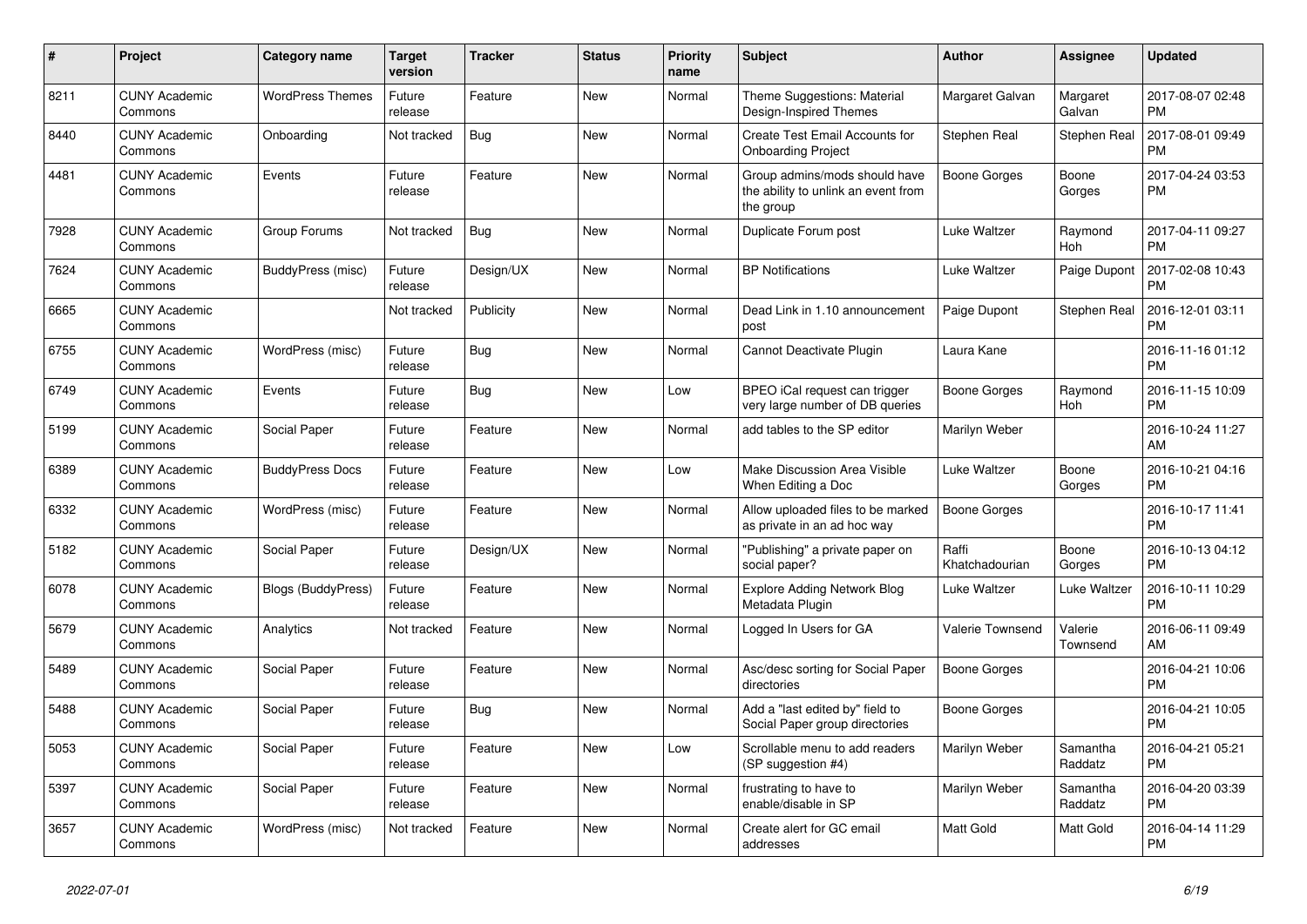| $\pmb{\sharp}$ | Project                         | <b>Category name</b>    | <b>Target</b><br>version | <b>Tracker</b> | <b>Status</b> | <b>Priority</b><br>name | <b>Subject</b>                                                                    | <b>Author</b>           | Assignee            | <b>Updated</b>                |
|----------------|---------------------------------|-------------------------|--------------------------|----------------|---------------|-------------------------|-----------------------------------------------------------------------------------|-------------------------|---------------------|-------------------------------|
| 8211           | <b>CUNY Academic</b><br>Commons | <b>WordPress Themes</b> | Future<br>release        | Feature        | <b>New</b>    | Normal                  | Theme Suggestions: Material<br>Design-Inspired Themes                             | Margaret Galvan         | Margaret<br>Galvan  | 2017-08-07 02:48<br>PM        |
| 8440           | <b>CUNY Academic</b><br>Commons | Onboarding              | Not tracked              | <b>Bug</b>     | New           | Normal                  | Create Test Email Accounts for<br><b>Onboarding Project</b>                       | Stephen Real            | Stephen Real        | 2017-08-01 09:49<br><b>PM</b> |
| 4481           | <b>CUNY Academic</b><br>Commons | Events                  | Future<br>release        | Feature        | New           | Normal                  | Group admins/mods should have<br>the ability to unlink an event from<br>the group | Boone Gorges            | Boone<br>Gorges     | 2017-04-24 03:53<br><b>PM</b> |
| 7928           | <b>CUNY Academic</b><br>Commons | Group Forums            | Not tracked              | Bug            | <b>New</b>    | Normal                  | Duplicate Forum post                                                              | Luke Waltzer            | Raymond<br>Hoh      | 2017-04-11 09:27<br><b>PM</b> |
| 7624           | <b>CUNY Academic</b><br>Commons | BuddyPress (misc)       | Future<br>release        | Design/UX      | New           | Normal                  | <b>BP Notifications</b>                                                           | Luke Waltzer            | Paige Dupont        | 2017-02-08 10:43<br><b>PM</b> |
| 6665           | <b>CUNY Academic</b><br>Commons |                         | Not tracked              | Publicity      | New           | Normal                  | Dead Link in 1.10 announcement<br>post                                            | Paige Dupont            | Stephen Real        | 2016-12-01 03:11<br><b>PM</b> |
| 6755           | <b>CUNY Academic</b><br>Commons | WordPress (misc)        | Future<br>release        | Bug            | <b>New</b>    | Normal                  | Cannot Deactivate Plugin                                                          | Laura Kane              |                     | 2016-11-16 01:12<br><b>PM</b> |
| 6749           | <b>CUNY Academic</b><br>Commons | Events                  | Future<br>release        | Bug            | New           | Low                     | BPEO iCal request can trigger<br>very large number of DB queries                  | Boone Gorges            | Raymond<br>Hoh      | 2016-11-15 10:09<br><b>PM</b> |
| 5199           | <b>CUNY Academic</b><br>Commons | Social Paper            | Future<br>release        | Feature        | New           | Normal                  | add tables to the SP editor                                                       | Marilyn Weber           |                     | 2016-10-24 11:27<br>AM        |
| 6389           | <b>CUNY Academic</b><br>Commons | <b>BuddyPress Docs</b>  | Future<br>release        | Feature        | <b>New</b>    | Low                     | <b>Make Discussion Area Visible</b><br>When Editing a Doc                         | Luke Waltzer            | Boone<br>Gorges     | 2016-10-21 04:16<br><b>PM</b> |
| 6332           | <b>CUNY Academic</b><br>Commons | WordPress (misc)        | Future<br>release        | Feature        | New           | Normal                  | Allow uploaded files to be marked<br>as private in an ad hoc way                  | <b>Boone Gorges</b>     |                     | 2016-10-17 11:41<br><b>PM</b> |
| 5182           | <b>CUNY Academic</b><br>Commons | Social Paper            | Future<br>release        | Design/UX      | New           | Normal                  | "Publishing" a private paper on<br>social paper?                                  | Raffi<br>Khatchadourian | Boone<br>Gorges     | 2016-10-13 04:12<br>PM.       |
| 6078           | <b>CUNY Academic</b><br>Commons | Blogs (BuddyPress)      | Future<br>release        | Feature        | <b>New</b>    | Normal                  | <b>Explore Adding Network Blog</b><br>Metadata Plugin                             | Luke Waltzer            | Luke Waltzer        | 2016-10-11 10:29<br><b>PM</b> |
| 5679           | <b>CUNY Academic</b><br>Commons | Analytics               | Not tracked              | Feature        | New           | Normal                  | Logged In Users for GA                                                            | <b>Valerie Townsend</b> | Valerie<br>Townsend | 2016-06-11 09:49<br>AM        |
| 5489           | <b>CUNY Academic</b><br>Commons | Social Paper            | Future<br>release        | Feature        | <b>New</b>    | Normal                  | Asc/desc sorting for Social Paper<br>directories                                  | Boone Gorges            |                     | 2016-04-21 10:06<br><b>PM</b> |
| 5488           | <b>CUNY Academic</b><br>Commons | Social Paper            | Future<br>release        | Bug            | <b>New</b>    | Normal                  | Add a "last edited by" field to<br>Social Paper group directories                 | Boone Gorges            |                     | 2016-04-21 10:05<br><b>PM</b> |
| 5053           | <b>CUNY Academic</b><br>Commons | Social Paper            | Future<br>release        | Feature        | <b>New</b>    | Low                     | Scrollable menu to add readers<br>(SP suggestion #4)                              | Marilyn Weber           | Samantha<br>Raddatz | 2016-04-21 05:21<br><b>PM</b> |
| 5397           | <b>CUNY Academic</b><br>Commons | Social Paper            | Future<br>release        | Feature        | New           | Normal                  | frustrating to have to<br>enable/disable in SP                                    | Marilyn Weber           | Samantha<br>Raddatz | 2016-04-20 03:39<br><b>PM</b> |
| 3657           | <b>CUNY Academic</b><br>Commons | WordPress (misc)        | Not tracked              | Feature        | <b>New</b>    | Normal                  | Create alert for GC email<br>addresses                                            | Matt Gold               | Matt Gold           | 2016-04-14 11:29<br><b>PM</b> |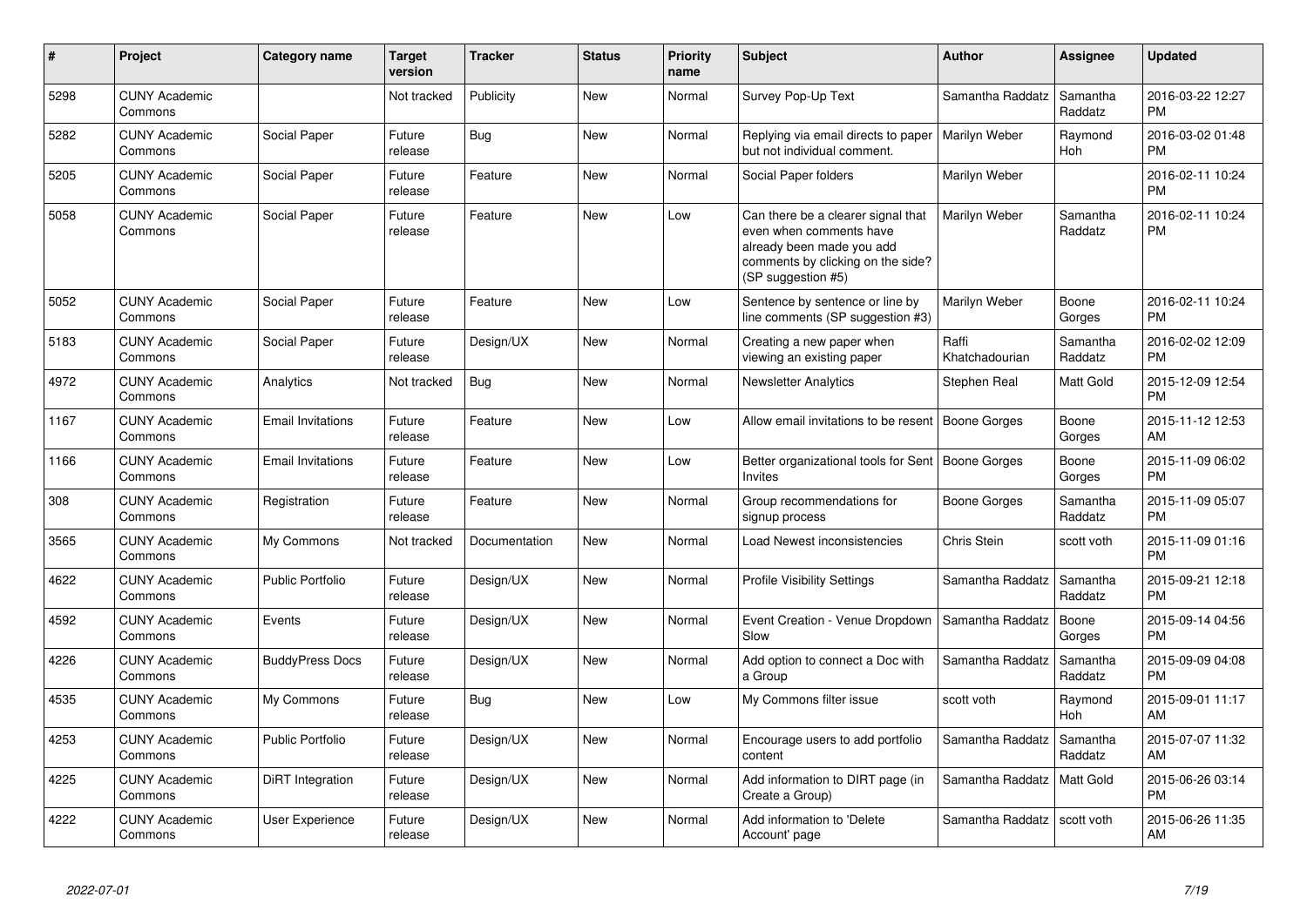| #    | Project                         | <b>Category name</b>     | <b>Target</b><br>version | <b>Tracker</b> | <b>Status</b> | <b>Priority</b><br>name | <b>Subject</b>                                                                                                                                        | <b>Author</b>           | <b>Assignee</b>     | <b>Updated</b>                |
|------|---------------------------------|--------------------------|--------------------------|----------------|---------------|-------------------------|-------------------------------------------------------------------------------------------------------------------------------------------------------|-------------------------|---------------------|-------------------------------|
| 5298 | <b>CUNY Academic</b><br>Commons |                          | Not tracked              | Publicity      | <b>New</b>    | Normal                  | Survey Pop-Up Text                                                                                                                                    | Samantha Raddatz        | Samantha<br>Raddatz | 2016-03-22 12:27<br><b>PM</b> |
| 5282 | <b>CUNY Academic</b><br>Commons | Social Paper             | Future<br>release        | Bug            | <b>New</b>    | Normal                  | Replying via email directs to paper<br>but not individual comment.                                                                                    | Marilyn Weber           | Raymond<br>Hoh      | 2016-03-02 01:48<br><b>PM</b> |
| 5205 | <b>CUNY Academic</b><br>Commons | Social Paper             | Future<br>release        | Feature        | New           | Normal                  | Social Paper folders                                                                                                                                  | Marilyn Weber           |                     | 2016-02-11 10:24<br><b>PM</b> |
| 5058 | <b>CUNY Academic</b><br>Commons | Social Paper             | Future<br>release        | Feature        | New           | Low                     | Can there be a clearer signal that<br>even when comments have<br>already been made you add<br>comments by clicking on the side?<br>(SP suggestion #5) | Marilyn Weber           | Samantha<br>Raddatz | 2016-02-11 10:24<br><b>PM</b> |
| 5052 | <b>CUNY Academic</b><br>Commons | Social Paper             | Future<br>release        | Feature        | <b>New</b>    | Low                     | Sentence by sentence or line by<br>line comments (SP suggestion #3)                                                                                   | Marilyn Weber           | Boone<br>Gorges     | 2016-02-11 10:24<br><b>PM</b> |
| 5183 | <b>CUNY Academic</b><br>Commons | Social Paper             | Future<br>release        | Design/UX      | <b>New</b>    | Normal                  | Creating a new paper when<br>viewing an existing paper                                                                                                | Raffi<br>Khatchadourian | Samantha<br>Raddatz | 2016-02-02 12:09<br><b>PM</b> |
| 4972 | <b>CUNY Academic</b><br>Commons | Analytics                | Not tracked              | Bug            | New           | Normal                  | <b>Newsletter Analytics</b>                                                                                                                           | Stephen Real            | Matt Gold           | 2015-12-09 12:54<br><b>PM</b> |
| 1167 | <b>CUNY Academic</b><br>Commons | <b>Email Invitations</b> | Future<br>release        | Feature        | New           | Low                     | Allow email invitations to be resent                                                                                                                  | Boone Gorges            | Boone<br>Gorges     | 2015-11-12 12:53<br>AM        |
| 1166 | <b>CUNY Academic</b><br>Commons | <b>Email Invitations</b> | Future<br>release        | Feature        | New           | Low                     | Better organizational tools for Sent   Boone Gorges<br><b>Invites</b>                                                                                 |                         | Boone<br>Gorges     | 2015-11-09 06:02<br><b>PM</b> |
| 308  | <b>CUNY Academic</b><br>Commons | Registration             | Future<br>release        | Feature        | <b>New</b>    | Normal                  | Group recommendations for<br>signup process                                                                                                           | Boone Gorges            | Samantha<br>Raddatz | 2015-11-09 05:07<br><b>PM</b> |
| 3565 | <b>CUNY Academic</b><br>Commons | My Commons               | Not tracked              | Documentation  | <b>New</b>    | Normal                  | Load Newest inconsistencies                                                                                                                           | Chris Stein             | scott voth          | 2015-11-09 01:16<br><b>PM</b> |
| 4622 | <b>CUNY Academic</b><br>Commons | <b>Public Portfolio</b>  | Future<br>release        | Design/UX      | <b>New</b>    | Normal                  | Profile Visibility Settings                                                                                                                           | Samantha Raddatz        | Samantha<br>Raddatz | 2015-09-21 12:18<br><b>PM</b> |
| 4592 | <b>CUNY Academic</b><br>Commons | Events                   | Future<br>release        | Design/UX      | <b>New</b>    | Normal                  | Event Creation - Venue Dropdown<br>Slow                                                                                                               | Samantha Raddatz        | Boone<br>Gorges     | 2015-09-14 04:56<br><b>PM</b> |
| 4226 | <b>CUNY Academic</b><br>Commons | <b>BuddyPress Docs</b>   | Future<br>release        | Design/UX      | New           | Normal                  | Add option to connect a Doc with<br>a Group                                                                                                           | Samantha Raddatz        | Samantha<br>Raddatz | 2015-09-09 04:08<br><b>PM</b> |
| 4535 | <b>CUNY Academic</b><br>Commons | My Commons               | Future<br>release        | Bug            | New           | Low                     | My Commons filter issue                                                                                                                               | scott voth              | Raymond<br>Hoh      | 2015-09-01 11:17<br>AM        |
| 4253 | <b>CUNY Academic</b><br>Commons | Public Portfolio         | Future<br>release        | Design/UX      | New           | Normal                  | Encourage users to add portfolio<br>content                                                                                                           | Samantha Raddatz        | Samantha<br>Raddatz | 2015-07-07 11:32<br>AM        |
| 4225 | <b>CUNY Academic</b><br>Commons | DiRT Integration         | Future<br>release        | Design/UX      | New           | Normal                  | Add information to DIRT page (in<br>Create a Group)                                                                                                   | Samantha Raddatz        | Matt Gold           | 2015-06-26 03:14<br><b>PM</b> |
| 4222 | <b>CUNY Academic</b><br>Commons | <b>User Experience</b>   | Future<br>release        | Design/UX      | <b>New</b>    | Normal                  | Add information to 'Delete<br>Account' page                                                                                                           | Samantha Raddatz        | scott voth          | 2015-06-26 11:35<br>AM        |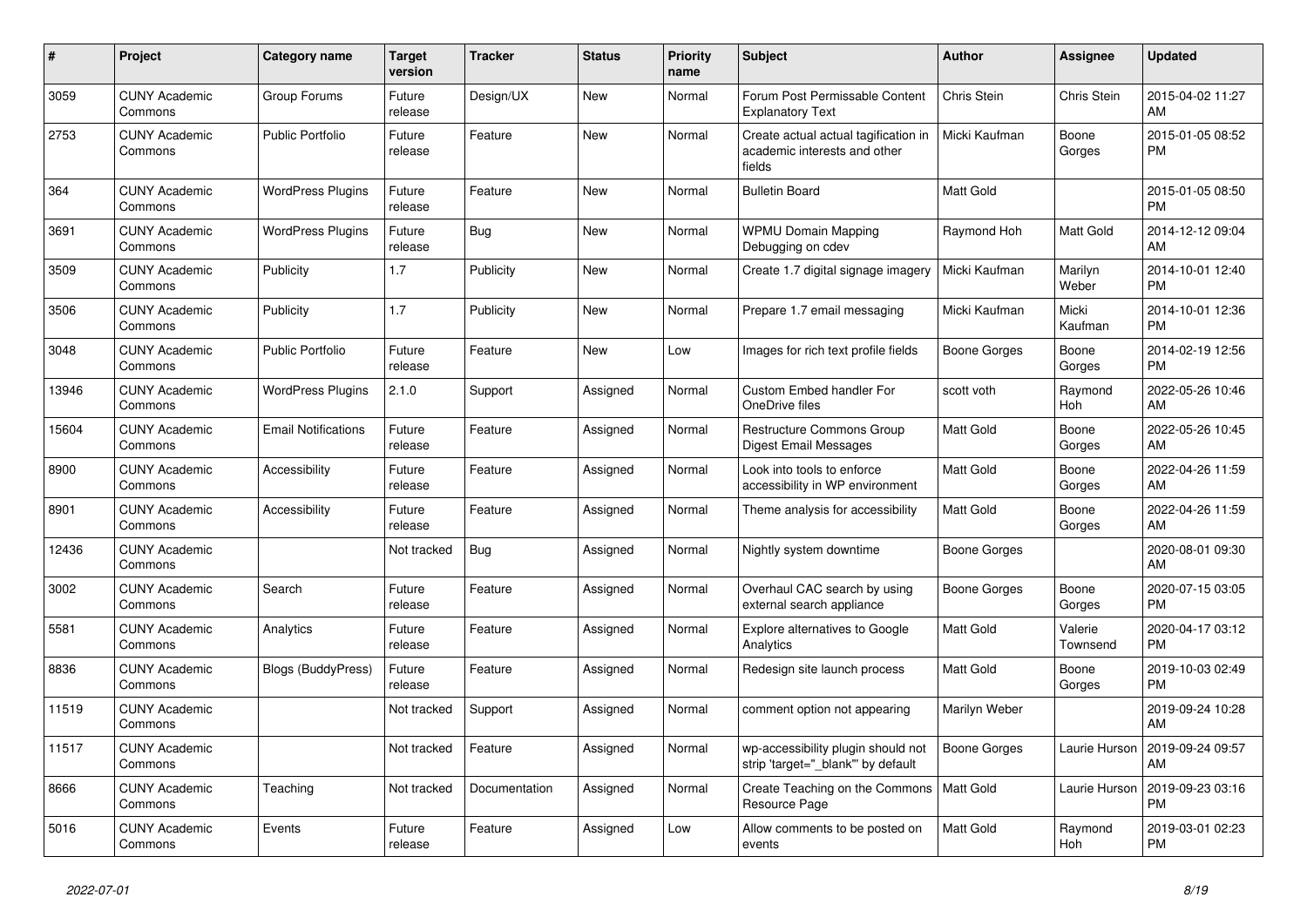| #     | <b>Project</b>                  | Category name              | <b>Target</b><br>version | <b>Tracker</b> | <b>Status</b> | <b>Priority</b><br>name | <b>Subject</b>                                                                 | <b>Author</b>       | Assignee            | <b>Updated</b>                |
|-------|---------------------------------|----------------------------|--------------------------|----------------|---------------|-------------------------|--------------------------------------------------------------------------------|---------------------|---------------------|-------------------------------|
| 3059  | <b>CUNY Academic</b><br>Commons | Group Forums               | Future<br>release        | Design/UX      | New           | Normal                  | Forum Post Permissable Content<br><b>Explanatory Text</b>                      | Chris Stein         | Chris Stein         | 2015-04-02 11:27<br>AM        |
| 2753  | <b>CUNY Academic</b><br>Commons | <b>Public Portfolio</b>    | Future<br>release        | Feature        | New           | Normal                  | Create actual actual tagification in<br>academic interests and other<br>fields | Micki Kaufman       | Boone<br>Gorges     | 2015-01-05 08:52<br><b>PM</b> |
| 364   | <b>CUNY Academic</b><br>Commons | <b>WordPress Plugins</b>   | Future<br>release        | Feature        | <b>New</b>    | Normal                  | <b>Bulletin Board</b>                                                          | <b>Matt Gold</b>    |                     | 2015-01-05 08:50<br><b>PM</b> |
| 3691  | <b>CUNY Academic</b><br>Commons | <b>WordPress Plugins</b>   | Future<br>release        | Bug            | <b>New</b>    | Normal                  | <b>WPMU Domain Mapping</b><br>Debugging on cdev                                | Raymond Hoh         | Matt Gold           | 2014-12-12 09:04<br>AM        |
| 3509  | <b>CUNY Academic</b><br>Commons | Publicity                  | 1.7                      | Publicity      | New           | Normal                  | Create 1.7 digital signage imagery                                             | Micki Kaufman       | Marilyn<br>Weber    | 2014-10-01 12:40<br><b>PM</b> |
| 3506  | <b>CUNY Academic</b><br>Commons | Publicity                  | 1.7                      | Publicity      | <b>New</b>    | Normal                  | Prepare 1.7 email messaging                                                    | Micki Kaufman       | Micki<br>Kaufman    | 2014-10-01 12:36<br><b>PM</b> |
| 3048  | <b>CUNY Academic</b><br>Commons | Public Portfolio           | Future<br>release        | Feature        | <b>New</b>    | Low                     | Images for rich text profile fields                                            | Boone Gorges        | Boone<br>Gorges     | 2014-02-19 12:56<br><b>PM</b> |
| 13946 | <b>CUNY Academic</b><br>Commons | <b>WordPress Plugins</b>   | 2.1.0                    | Support        | Assigned      | Normal                  | Custom Embed handler For<br>OneDrive files                                     | scott voth          | Raymond<br>Hoh      | 2022-05-26 10:46<br>AM        |
| 15604 | <b>CUNY Academic</b><br>Commons | <b>Email Notifications</b> | Future<br>release        | Feature        | Assigned      | Normal                  | <b>Restructure Commons Group</b><br>Digest Email Messages                      | <b>Matt Gold</b>    | Boone<br>Gorges     | 2022-05-26 10:45<br>AM        |
| 8900  | <b>CUNY Academic</b><br>Commons | Accessibility              | Future<br>release        | Feature        | Assigned      | Normal                  | Look into tools to enforce<br>accessibility in WP environment                  | <b>Matt Gold</b>    | Boone<br>Gorges     | 2022-04-26 11:59<br>AM        |
| 8901  | <b>CUNY Academic</b><br>Commons | Accessibility              | Future<br>release        | Feature        | Assigned      | Normal                  | Theme analysis for accessibility                                               | <b>Matt Gold</b>    | Boone<br>Gorges     | 2022-04-26 11:59<br>AM        |
| 12436 | <b>CUNY Academic</b><br>Commons |                            | Not tracked              | Bug            | Assigned      | Normal                  | Nightly system downtime                                                        | Boone Gorges        |                     | 2020-08-01 09:30<br>AM        |
| 3002  | <b>CUNY Academic</b><br>Commons | Search                     | Future<br>release        | Feature        | Assigned      | Normal                  | Overhaul CAC search by using<br>external search appliance                      | Boone Gorges        | Boone<br>Gorges     | 2020-07-15 03:05<br><b>PM</b> |
| 5581  | <b>CUNY Academic</b><br>Commons | Analytics                  | Future<br>release        | Feature        | Assigned      | Normal                  | Explore alternatives to Google<br>Analytics                                    | <b>Matt Gold</b>    | Valerie<br>Townsend | 2020-04-17 03:12<br><b>PM</b> |
| 8836  | <b>CUNY Academic</b><br>Commons | <b>Blogs (BuddyPress)</b>  | Future<br>release        | Feature        | Assigned      | Normal                  | Redesign site launch process                                                   | <b>Matt Gold</b>    | Boone<br>Gorges     | 2019-10-03 02:49<br><b>PM</b> |
| 11519 | <b>CUNY Academic</b><br>Commons |                            | Not tracked              | Support        | Assigned      | Normal                  | comment option not appearing                                                   | Marilyn Weber       |                     | 2019-09-24 10:28<br>AM        |
| 11517 | <b>CUNY Academic</b><br>Commons |                            | Not tracked              | Feature        | Assigned      | Normal                  | wp-accessibility plugin should not<br>strip 'target=" blank" by default        | <b>Boone Gorges</b> | Laurie Hurson       | 2019-09-24 09:57<br>AM        |
| 8666  | <b>CUNY Academic</b><br>Commons | Teaching                   | Not tracked              | Documentation  | Assigned      | Normal                  | Create Teaching on the Commons<br>Resource Page                                | Matt Gold           | Laurie Hurson       | 2019-09-23 03:16<br><b>PM</b> |
| 5016  | <b>CUNY Academic</b><br>Commons | Events                     | Future<br>release        | Feature        | Assigned      | Low                     | Allow comments to be posted on<br>events                                       | <b>Matt Gold</b>    | Raymond<br>Hoh      | 2019-03-01 02:23<br><b>PM</b> |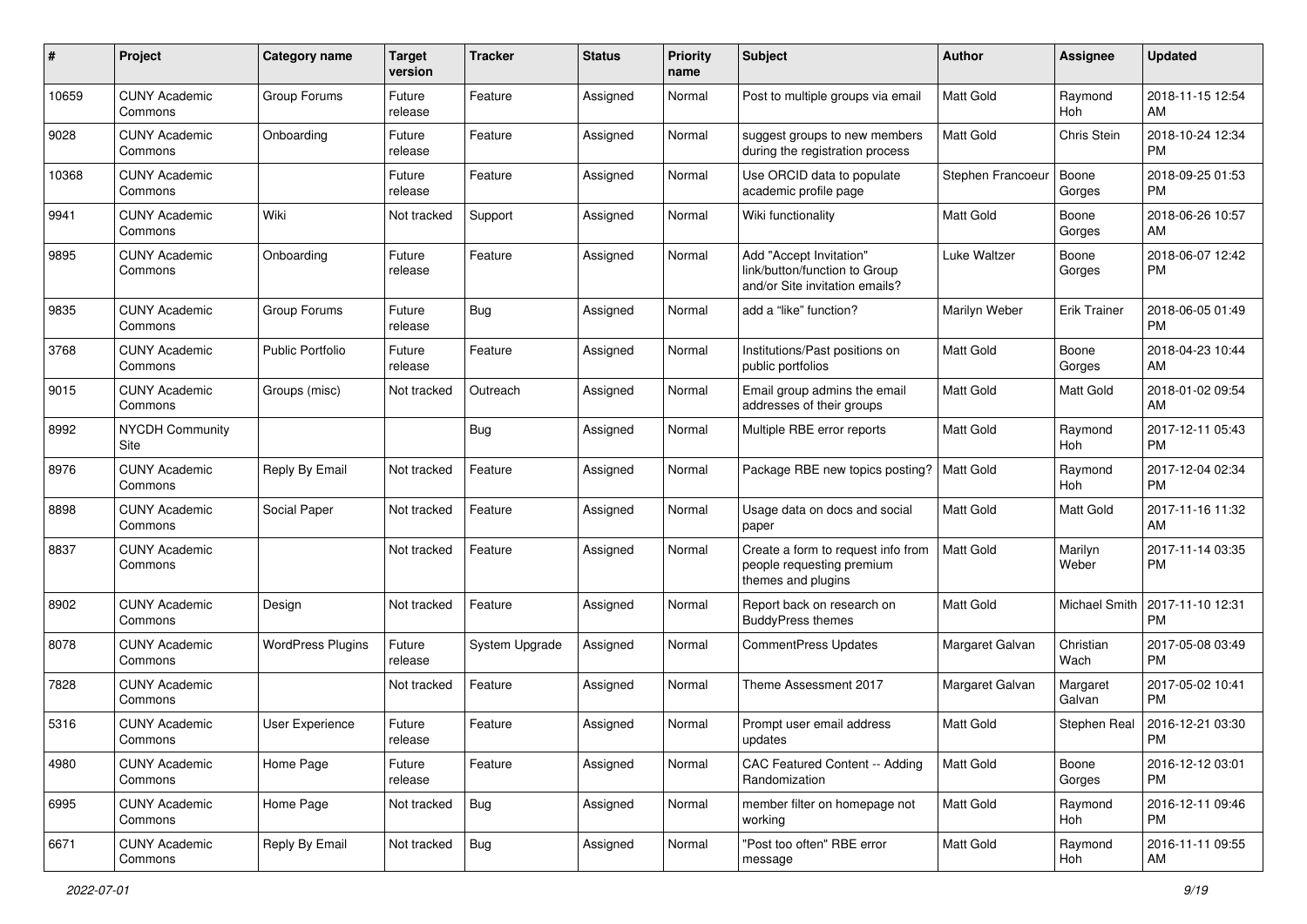| #     | Project                         | <b>Category name</b>     | <b>Target</b><br>version | <b>Tracker</b> | <b>Status</b> | <b>Priority</b><br>name | Subject                                                                                    | Author            | <b>Assignee</b>     | <b>Updated</b>                |
|-------|---------------------------------|--------------------------|--------------------------|----------------|---------------|-------------------------|--------------------------------------------------------------------------------------------|-------------------|---------------------|-------------------------------|
| 10659 | <b>CUNY Academic</b><br>Commons | Group Forums             | Future<br>release        | Feature        | Assigned      | Normal                  | Post to multiple groups via email                                                          | <b>Matt Gold</b>  | Raymond<br>Hoh      | 2018-11-15 12:54<br>AM        |
| 9028  | <b>CUNY Academic</b><br>Commons | Onboarding               | Future<br>release        | Feature        | Assigned      | Normal                  | suggest groups to new members<br>during the registration process                           | Matt Gold         | Chris Stein         | 2018-10-24 12:34<br><b>PM</b> |
| 10368 | <b>CUNY Academic</b><br>Commons |                          | Future<br>release        | Feature        | Assigned      | Normal                  | Use ORCID data to populate<br>academic profile page                                        | Stephen Francoeur | Boone<br>Gorges     | 2018-09-25 01:53<br><b>PM</b> |
| 9941  | <b>CUNY Academic</b><br>Commons | Wiki                     | Not tracked              | Support        | Assigned      | Normal                  | Wiki functionality                                                                         | <b>Matt Gold</b>  | Boone<br>Gorges     | 2018-06-26 10:57<br>AM        |
| 9895  | <b>CUNY Academic</b><br>Commons | Onboarding               | Future<br>release        | Feature        | Assigned      | Normal                  | Add "Accept Invitation"<br>link/button/function to Group<br>and/or Site invitation emails? | Luke Waltzer      | Boone<br>Gorges     | 2018-06-07 12:42<br><b>PM</b> |
| 9835  | <b>CUNY Academic</b><br>Commons | Group Forums             | Future<br>release        | Bug            | Assigned      | Normal                  | add a "like" function?                                                                     | Marilyn Weber     | <b>Erik Trainer</b> | 2018-06-05 01:49<br><b>PM</b> |
| 3768  | <b>CUNY Academic</b><br>Commons | <b>Public Portfolio</b>  | Future<br>release        | Feature        | Assigned      | Normal                  | Institutions/Past positions on<br>public portfolios                                        | Matt Gold         | Boone<br>Gorges     | 2018-04-23 10:44<br>AM        |
| 9015  | <b>CUNY Academic</b><br>Commons | Groups (misc)            | Not tracked              | Outreach       | Assigned      | Normal                  | Email group admins the email<br>addresses of their groups                                  | <b>Matt Gold</b>  | Matt Gold           | 2018-01-02 09:54<br>AM        |
| 8992  | <b>NYCDH Community</b><br>Site  |                          |                          | Bug            | Assigned      | Normal                  | Multiple RBE error reports                                                                 | Matt Gold         | Raymond<br>Hoh      | 2017-12-11 05:43<br><b>PM</b> |
| 8976  | <b>CUNY Academic</b><br>Commons | Reply By Email           | Not tracked              | Feature        | Assigned      | Normal                  | Package RBE new topics posting?                                                            | <b>Matt Gold</b>  | Raymond<br>Hoh      | 2017-12-04 02:34<br><b>PM</b> |
| 8898  | <b>CUNY Academic</b><br>Commons | Social Paper             | Not tracked              | Feature        | Assigned      | Normal                  | Usage data on docs and social<br>paper                                                     | Matt Gold         | Matt Gold           | 2017-11-16 11:32<br>AM        |
| 8837  | <b>CUNY Academic</b><br>Commons |                          | Not tracked              | Feature        | Assigned      | Normal                  | Create a form to request info from<br>people requesting premium<br>themes and plugins      | <b>Matt Gold</b>  | Marilyn<br>Weber    | 2017-11-14 03:35<br><b>PM</b> |
| 8902  | <b>CUNY Academic</b><br>Commons | Design                   | Not tracked              | Feature        | Assigned      | Normal                  | Report back on research on<br><b>BuddyPress themes</b>                                     | <b>Matt Gold</b>  | Michael Smith       | 2017-11-10 12:31<br><b>PM</b> |
| 8078  | <b>CUNY Academic</b><br>Commons | <b>WordPress Plugins</b> | Future<br>release        | System Upgrade | Assigned      | Normal                  | <b>CommentPress Updates</b>                                                                | Margaret Galvan   | Christian<br>Wach   | 2017-05-08 03:49<br><b>PM</b> |
| 7828  | <b>CUNY Academic</b><br>Commons |                          | Not tracked              | Feature        | Assigned      | Normal                  | Theme Assessment 2017                                                                      | Margaret Galvan   | Margaret<br>Galvan  | 2017-05-02 10:41<br><b>PM</b> |
| 5316  | <b>CUNY Academic</b><br>Commons | <b>User Experience</b>   | Future<br>release        | Feature        | Assigned      | Normal                  | Prompt user email address<br>updates                                                       | <b>Matt Gold</b>  | Stephen Real        | 2016-12-21 03:30<br>PM        |
| 4980  | <b>CUNY Academic</b><br>Commons | Home Page                | Future<br>release        | Feature        | Assigned      | Normal                  | CAC Featured Content -- Adding<br>Randomization                                            | Matt Gold         | Boone<br>Gorges     | 2016-12-12 03:01<br>PM        |
| 6995  | <b>CUNY Academic</b><br>Commons | Home Page                | Not tracked              | Bug            | Assigned      | Normal                  | member filter on homepage not<br>working                                                   | <b>Matt Gold</b>  | Raymond<br>Hoh      | 2016-12-11 09:46<br><b>PM</b> |
| 6671  | <b>CUNY Academic</b><br>Commons | Reply By Email           | Not tracked              | Bug            | Assigned      | Normal                  | "Post too often" RBE error<br>message                                                      | Matt Gold         | Raymond<br>Hoh      | 2016-11-11 09:55<br>AM        |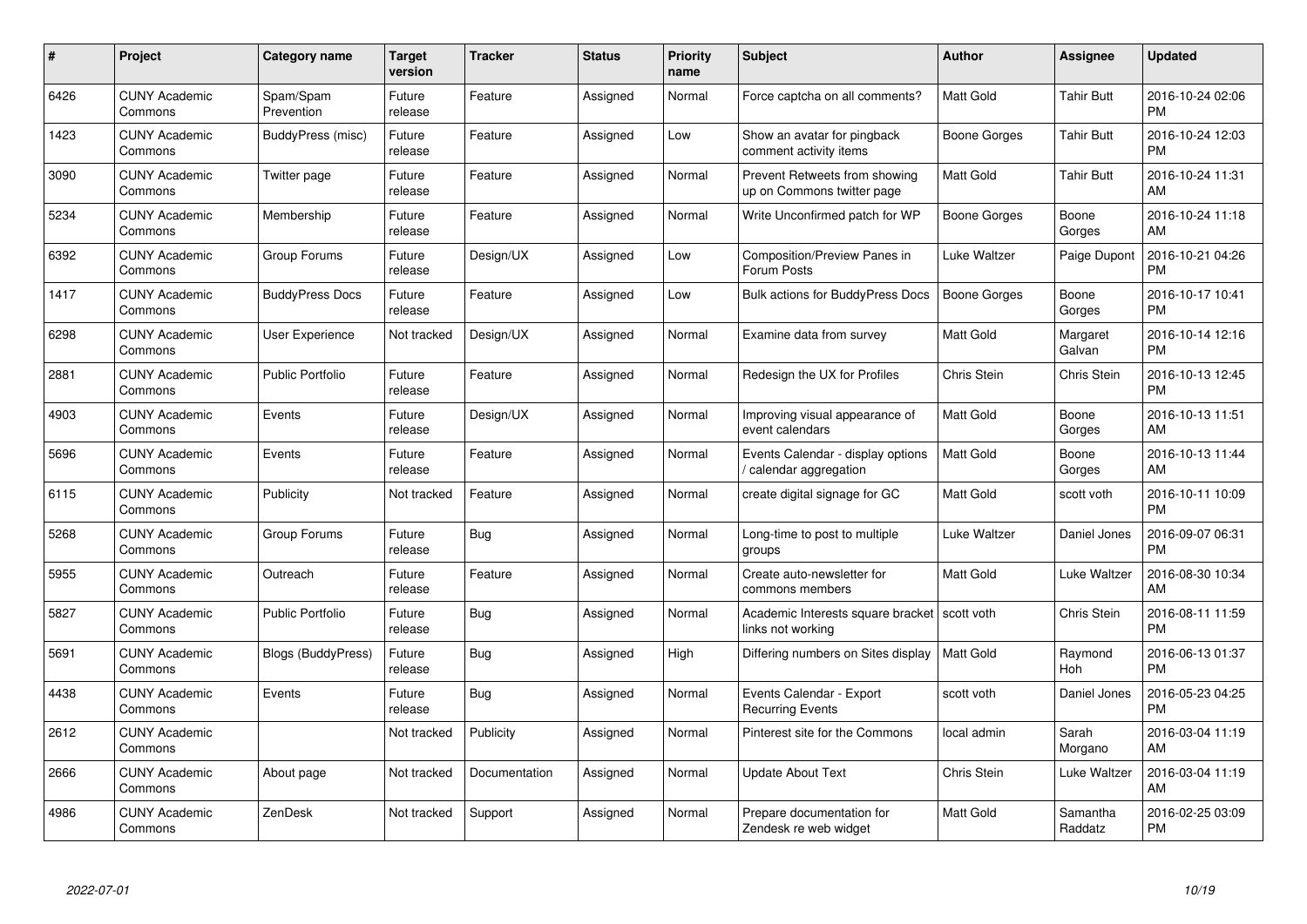| $\#$ | Project                         | <b>Category name</b>      | <b>Target</b><br>version | <b>Tracker</b> | <b>Status</b> | Priority<br>name | <b>Subject</b>                                                      | <b>Author</b>    | <b>Assignee</b>     | <b>Updated</b>                |
|------|---------------------------------|---------------------------|--------------------------|----------------|---------------|------------------|---------------------------------------------------------------------|------------------|---------------------|-------------------------------|
| 6426 | <b>CUNY Academic</b><br>Commons | Spam/Spam<br>Prevention   | Future<br>release        | Feature        | Assigned      | Normal           | Force captcha on all comments?                                      | <b>Matt Gold</b> | <b>Tahir Butt</b>   | 2016-10-24 02:06<br><b>PM</b> |
| 1423 | <b>CUNY Academic</b><br>Commons | BuddyPress (misc)         | Future<br>release        | Feature        | Assigned      | Low              | Show an avatar for pingback<br>comment activity items               | Boone Gorges     | Tahir Butt          | 2016-10-24 12:03<br><b>PM</b> |
| 3090 | <b>CUNY Academic</b><br>Commons | Twitter page              | Future<br>release        | Feature        | Assigned      | Normal           | Prevent Retweets from showing<br>up on Commons twitter page         | Matt Gold        | <b>Tahir Butt</b>   | 2016-10-24 11:31<br>AM        |
| 5234 | <b>CUNY Academic</b><br>Commons | Membership                | Future<br>release        | Feature        | Assigned      | Normal           | Write Unconfirmed patch for WP                                      | Boone Gorges     | Boone<br>Gorges     | 2016-10-24 11:18<br>AM        |
| 6392 | <b>CUNY Academic</b><br>Commons | Group Forums              | Future<br>release        | Design/UX      | Assigned      | Low              | Composition/Preview Panes in<br>Forum Posts                         | Luke Waltzer     | Paige Dupont        | 2016-10-21 04:26<br><b>PM</b> |
| 1417 | <b>CUNY Academic</b><br>Commons | <b>BuddyPress Docs</b>    | Future<br>release        | Feature        | Assigned      | Low              | Bulk actions for BuddyPress Docs                                    | Boone Gorges     | Boone<br>Gorges     | 2016-10-17 10:41<br><b>PM</b> |
| 6298 | <b>CUNY Academic</b><br>Commons | User Experience           | Not tracked              | Design/UX      | Assigned      | Normal           | Examine data from survey                                            | Matt Gold        | Margaret<br>Galvan  | 2016-10-14 12:16<br><b>PM</b> |
| 2881 | <b>CUNY Academic</b><br>Commons | <b>Public Portfolio</b>   | Future<br>release        | Feature        | Assigned      | Normal           | Redesign the UX for Profiles                                        | Chris Stein      | Chris Stein         | 2016-10-13 12:45<br><b>PM</b> |
| 4903 | <b>CUNY Academic</b><br>Commons | Events                    | Future<br>release        | Design/UX      | Assigned      | Normal           | Improving visual appearance of<br>event calendars                   | <b>Matt Gold</b> | Boone<br>Gorges     | 2016-10-13 11:51<br>AM        |
| 5696 | <b>CUNY Academic</b><br>Commons | Events                    | Future<br>release        | Feature        | Assigned      | Normal           | Events Calendar - display options<br>calendar aggregation /         | <b>Matt Gold</b> | Boone<br>Gorges     | 2016-10-13 11:44<br>AM        |
| 6115 | <b>CUNY Academic</b><br>Commons | Publicity                 | Not tracked              | Feature        | Assigned      | Normal           | create digital signage for GC                                       | Matt Gold        | scott voth          | 2016-10-11 10:09<br><b>PM</b> |
| 5268 | <b>CUNY Academic</b><br>Commons | Group Forums              | Future<br>release        | Bug            | Assigned      | Normal           | Long-time to post to multiple<br>groups                             | Luke Waltzer     | Daniel Jones        | 2016-09-07 06:31<br><b>PM</b> |
| 5955 | <b>CUNY Academic</b><br>Commons | Outreach                  | Future<br>release        | Feature        | Assigned      | Normal           | Create auto-newsletter for<br>commons members                       | Matt Gold        | Luke Waltzer        | 2016-08-30 10:34<br>AM        |
| 5827 | <b>CUNY Academic</b><br>Commons | <b>Public Portfolio</b>   | Future<br>release        | Bug            | Assigned      | Normal           | Academic Interests square bracket   scott voth<br>links not working |                  | Chris Stein         | 2016-08-11 11:59<br><b>PM</b> |
| 5691 | <b>CUNY Academic</b><br>Commons | <b>Blogs (BuddyPress)</b> | Future<br>release        | Bug            | Assigned      | High             | Differing numbers on Sites display                                  | Matt Gold        | Raymond<br>Hoh      | 2016-06-13 01:37<br><b>PM</b> |
| 4438 | <b>CUNY Academic</b><br>Commons | Events                    | Future<br>release        | Bug            | Assigned      | Normal           | Events Calendar - Export<br><b>Recurring Events</b>                 | scott voth       | Daniel Jones        | 2016-05-23 04:25<br><b>PM</b> |
| 2612 | <b>CUNY Academic</b><br>Commons |                           | Not tracked              | Publicity      | Assigned      | Normal           | Pinterest site for the Commons                                      | local admin      | Sarah<br>Morgano    | 2016-03-04 11:19<br>AM        |
| 2666 | <b>CUNY Academic</b><br>Commons | About page                | Not tracked              | Documentation  | Assigned      | Normal           | <b>Update About Text</b>                                            | Chris Stein      | Luke Waltzer        | 2016-03-04 11:19<br>AM        |
| 4986 | <b>CUNY Academic</b><br>Commons | ZenDesk                   | Not tracked              | Support        | Assigned      | Normal           | Prepare documentation for<br>Zendesk re web widget                  | <b>Matt Gold</b> | Samantha<br>Raddatz | 2016-02-25 03:09<br><b>PM</b> |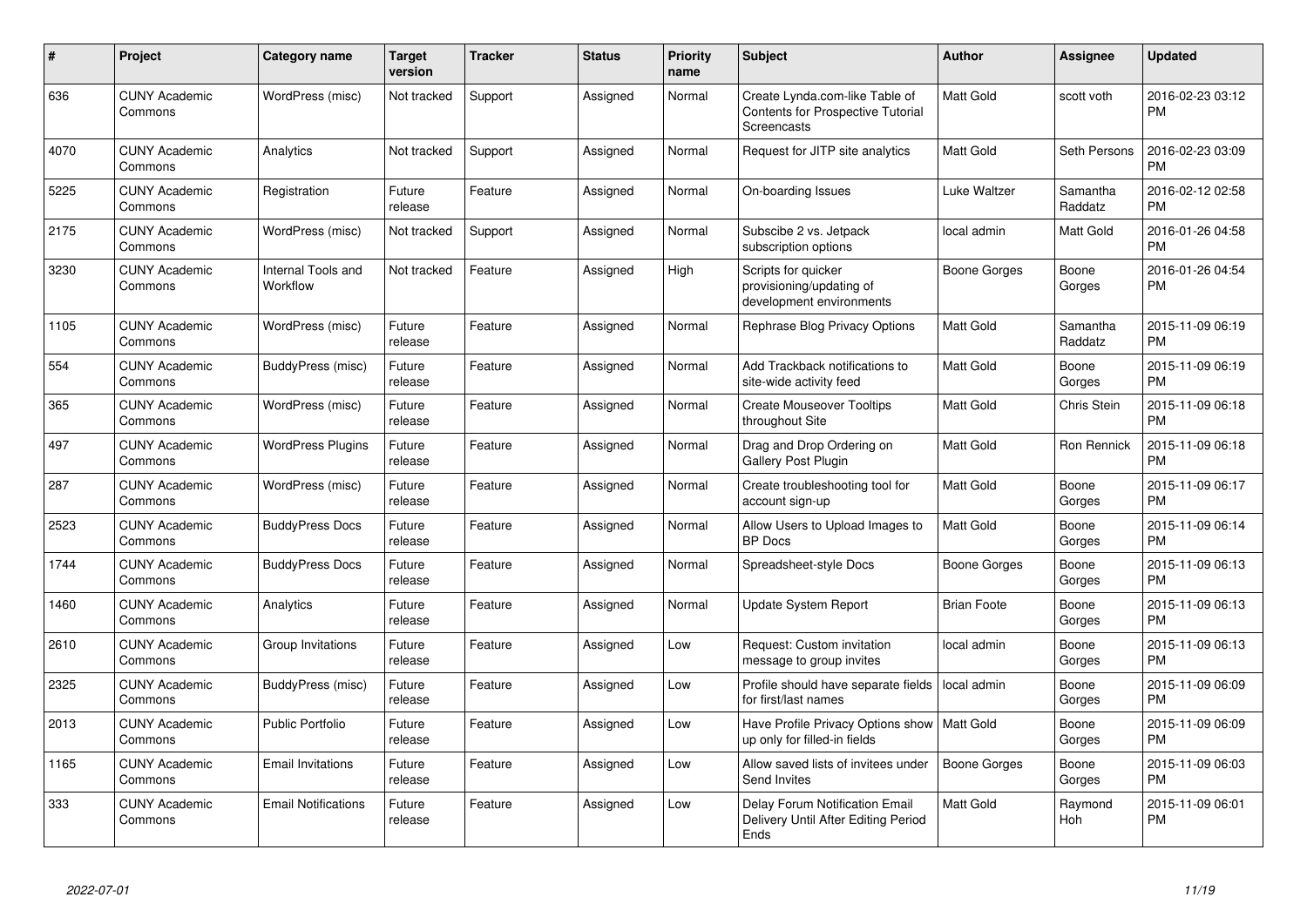| $\#$ | Project                         | <b>Category name</b>           | Target<br>version | <b>Tracker</b> | <b>Status</b> | <b>Priority</b><br>name | <b>Subject</b>                                                                            | Author              | Assignee              | <b>Updated</b>                |
|------|---------------------------------|--------------------------------|-------------------|----------------|---------------|-------------------------|-------------------------------------------------------------------------------------------|---------------------|-----------------------|-------------------------------|
| 636  | <b>CUNY Academic</b><br>Commons | WordPress (misc)               | Not tracked       | Support        | Assigned      | Normal                  | Create Lynda.com-like Table of<br><b>Contents for Prospective Tutorial</b><br>Screencasts | <b>Matt Gold</b>    | scott voth            | 2016-02-23 03:12<br><b>PM</b> |
| 4070 | <b>CUNY Academic</b><br>Commons | Analytics                      | Not tracked       | Support        | Assigned      | Normal                  | Request for JITP site analytics                                                           | Matt Gold           | Seth Persons          | 2016-02-23 03:09<br><b>PM</b> |
| 5225 | <b>CUNY Academic</b><br>Commons | Registration                   | Future<br>release | Feature        | Assigned      | Normal                  | On-boarding Issues                                                                        | Luke Waltzer        | Samantha<br>Raddatz   | 2016-02-12 02:58<br><b>PM</b> |
| 2175 | <b>CUNY Academic</b><br>Commons | WordPress (misc)               | Not tracked       | Support        | Assigned      | Normal                  | Subscibe 2 vs. Jetpack<br>subscription options                                            | local admin         | Matt Gold             | 2016-01-26 04:58<br><b>PM</b> |
| 3230 | <b>CUNY Academic</b><br>Commons | Internal Tools and<br>Workflow | Not tracked       | Feature        | Assigned      | High                    | Scripts for quicker<br>provisioning/updating of<br>development environments               | Boone Gorges        | Boone<br>Gorges       | 2016-01-26 04:54<br><b>PM</b> |
| 1105 | <b>CUNY Academic</b><br>Commons | WordPress (misc)               | Future<br>release | Feature        | Assigned      | Normal                  | Rephrase Blog Privacy Options                                                             | <b>Matt Gold</b>    | Samantha<br>Raddatz   | 2015-11-09 06:19<br><b>PM</b> |
| 554  | <b>CUNY Academic</b><br>Commons | BuddyPress (misc)              | Future<br>release | Feature        | Assigned      | Normal                  | Add Trackback notifications to<br>site-wide activity feed                                 | Matt Gold           | Boone<br>Gorges       | 2015-11-09 06:19<br><b>PM</b> |
| 365  | <b>CUNY Academic</b><br>Commons | WordPress (misc)               | Future<br>release | Feature        | Assigned      | Normal                  | <b>Create Mouseover Tooltips</b><br>throughout Site                                       | <b>Matt Gold</b>    | Chris Stein           | 2015-11-09 06:18<br><b>PM</b> |
| 497  | <b>CUNY Academic</b><br>Commons | <b>WordPress Plugins</b>       | Future<br>release | Feature        | Assigned      | Normal                  | Drag and Drop Ordering on<br>Gallery Post Plugin                                          | <b>Matt Gold</b>    | Ron Rennick           | 2015-11-09 06:18<br><b>PM</b> |
| 287  | <b>CUNY Academic</b><br>Commons | WordPress (misc)               | Future<br>release | Feature        | Assigned      | Normal                  | Create troubleshooting tool for<br>account sign-up                                        | Matt Gold           | Boone<br>Gorges       | 2015-11-09 06:17<br><b>PM</b> |
| 2523 | <b>CUNY Academic</b><br>Commons | <b>BuddyPress Docs</b>         | Future<br>release | Feature        | Assigned      | Normal                  | Allow Users to Upload Images to<br><b>BP</b> Docs                                         | <b>Matt Gold</b>    | Boone<br>Gorges       | 2015-11-09 06:14<br><b>PM</b> |
| 1744 | <b>CUNY Academic</b><br>Commons | <b>BuddyPress Docs</b>         | Future<br>release | Feature        | Assigned      | Normal                  | Spreadsheet-style Docs                                                                    | Boone Gorges        | Boone<br>Gorges       | 2015-11-09 06:13<br><b>PM</b> |
| 1460 | <b>CUNY Academic</b><br>Commons | Analytics                      | Future<br>release | Feature        | Assigned      | Normal                  | <b>Update System Report</b>                                                               | <b>Brian Foote</b>  | Boone<br>Gorges       | 2015-11-09 06:13<br><b>PM</b> |
| 2610 | <b>CUNY Academic</b><br>Commons | Group Invitations              | Future<br>release | Feature        | Assigned      | Low                     | Request: Custom invitation<br>message to group invites                                    | local admin         | Boone<br>Gorges       | 2015-11-09 06:13<br><b>PM</b> |
| 2325 | <b>CUNY Academic</b><br>Commons | BuddyPress (misc)              | Future<br>release | Feature        | Assigned      | Low                     | Profile should have separate fields<br>for first/last names                               | local admin         | Boone<br>Gorges       | 2015-11-09 06:09<br>PM.       |
| 2013 | <b>CUNY Academic</b><br>Commons | <b>Public Portfolio</b>        | Future<br>release | Feature        | Assigned      | Low                     | Have Profile Privacy Options show   Matt Gold<br>up only for filled-in fields             |                     | Boone<br>Gorges       | 2015-11-09 06:09<br><b>PM</b> |
| 1165 | <b>CUNY Academic</b><br>Commons | <b>Email Invitations</b>       | Future<br>release | Feature        | Assigned      | Low                     | Allow saved lists of invitees under<br>Send Invites                                       | <b>Boone Gorges</b> | Boone<br>Gorges       | 2015-11-09 06:03<br><b>PM</b> |
| 333  | <b>CUNY Academic</b><br>Commons | <b>Email Notifications</b>     | Future<br>release | Feature        | Assigned      | Low                     | Delay Forum Notification Email<br>Delivery Until After Editing Period<br>Ends             | <b>Matt Gold</b>    | Raymond<br><b>Hoh</b> | 2015-11-09 06:01<br><b>PM</b> |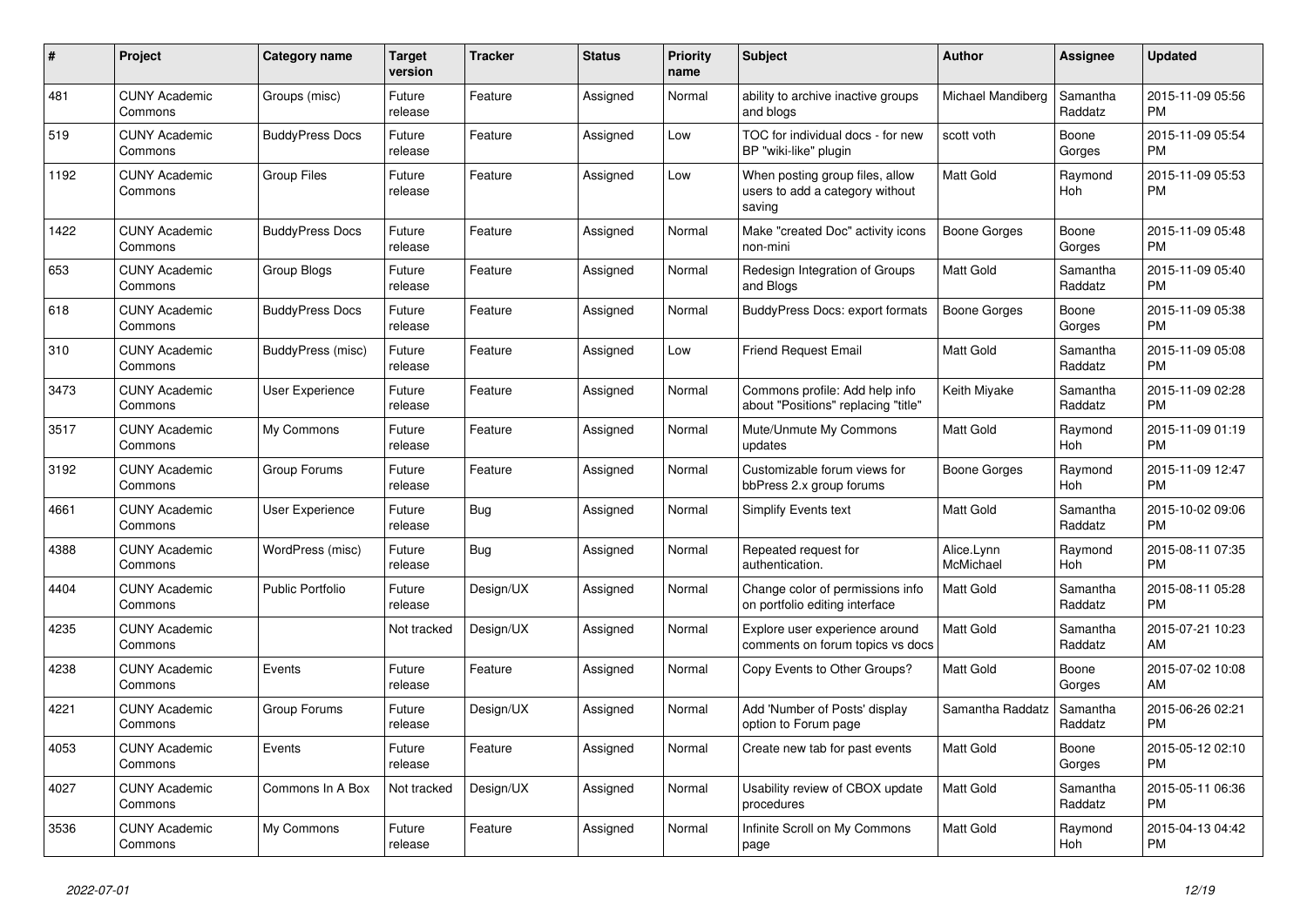| #    | Project                         | Category name          | Target<br>version | <b>Tracker</b> | <b>Status</b> | <b>Priority</b><br>name | <b>Subject</b>                                                               | <b>Author</b>           | Assignee            | <b>Updated</b>                |
|------|---------------------------------|------------------------|-------------------|----------------|---------------|-------------------------|------------------------------------------------------------------------------|-------------------------|---------------------|-------------------------------|
| 481  | <b>CUNY Academic</b><br>Commons | Groups (misc)          | Future<br>release | Feature        | Assigned      | Normal                  | ability to archive inactive groups<br>and blogs                              | Michael Mandiberg       | Samantha<br>Raddatz | 2015-11-09 05:56<br><b>PM</b> |
| 519  | <b>CUNY Academic</b><br>Commons | <b>BuddyPress Docs</b> | Future<br>release | Feature        | Assigned      | Low                     | TOC for individual docs - for new<br>BP "wiki-like" plugin                   | scott voth              | Boone<br>Gorges     | 2015-11-09 05:54<br>PM.       |
| 1192 | <b>CUNY Academic</b><br>Commons | <b>Group Files</b>     | Future<br>release | Feature        | Assigned      | Low                     | When posting group files, allow<br>users to add a category without<br>saving | Matt Gold               | Raymond<br>Hoh      | 2015-11-09 05:53<br><b>PM</b> |
| 1422 | <b>CUNY Academic</b><br>Commons | <b>BuddyPress Docs</b> | Future<br>release | Feature        | Assigned      | Normal                  | Make "created Doc" activity icons<br>non-mini                                | Boone Gorges            | Boone<br>Gorges     | 2015-11-09 05:48<br>PM.       |
| 653  | <b>CUNY Academic</b><br>Commons | Group Blogs            | Future<br>release | Feature        | Assigned      | Normal                  | Redesign Integration of Groups<br>and Blogs                                  | Matt Gold               | Samantha<br>Raddatz | 2015-11-09 05:40<br><b>PM</b> |
| 618  | <b>CUNY Academic</b><br>Commons | <b>BuddyPress Docs</b> | Future<br>release | Feature        | Assigned      | Normal                  | BuddyPress Docs: export formats                                              | Boone Gorges            | Boone<br>Gorges     | 2015-11-09 05:38<br><b>PM</b> |
| 310  | <b>CUNY Academic</b><br>Commons | BuddyPress (misc)      | Future<br>release | Feature        | Assigned      | Low                     | <b>Friend Request Email</b>                                                  | Matt Gold               | Samantha<br>Raddatz | 2015-11-09 05:08<br><b>PM</b> |
| 3473 | <b>CUNY Academic</b><br>Commons | User Experience        | Future<br>release | Feature        | Assigned      | Normal                  | Commons profile: Add help info<br>about "Positions" replacing "title"        | Keith Miyake            | Samantha<br>Raddatz | 2015-11-09 02:28<br><b>PM</b> |
| 3517 | <b>CUNY Academic</b><br>Commons | My Commons             | Future<br>release | Feature        | Assigned      | Normal                  | Mute/Unmute My Commons<br>updates                                            | Matt Gold               | Raymond<br>Hoh      | 2015-11-09 01:19<br><b>PM</b> |
| 3192 | <b>CUNY Academic</b><br>Commons | Group Forums           | Future<br>release | Feature        | Assigned      | Normal                  | Customizable forum views for<br>bbPress 2.x group forums                     | Boone Gorges            | Raymond<br>Hoh      | 2015-11-09 12:47<br><b>PM</b> |
| 4661 | <b>CUNY Academic</b><br>Commons | User Experience        | Future<br>release | Bug            | Assigned      | Normal                  | <b>Simplify Events text</b>                                                  | <b>Matt Gold</b>        | Samantha<br>Raddatz | 2015-10-02 09:06<br><b>PM</b> |
| 4388 | <b>CUNY Academic</b><br>Commons | WordPress (misc)       | Future<br>release | Bug            | Assigned      | Normal                  | Repeated request for<br>authentication.                                      | Alice.Lynn<br>McMichael | Raymond<br>Hoh      | 2015-08-11 07:35<br><b>PM</b> |
| 4404 | <b>CUNY Academic</b><br>Commons | Public Portfolio       | Future<br>release | Design/UX      | Assigned      | Normal                  | Change color of permissions info<br>on portfolio editing interface           | Matt Gold               | Samantha<br>Raddatz | 2015-08-11 05:28<br><b>PM</b> |
| 4235 | <b>CUNY Academic</b><br>Commons |                        | Not tracked       | Design/UX      | Assigned      | Normal                  | Explore user experience around<br>comments on forum topics vs docs           | Matt Gold               | Samantha<br>Raddatz | 2015-07-21 10:23<br>AM        |
| 4238 | <b>CUNY Academic</b><br>Commons | Events                 | Future<br>release | Feature        | Assigned      | Normal                  | Copy Events to Other Groups?                                                 | Matt Gold               | Boone<br>Gorges     | 2015-07-02 10:08<br>AM.       |
| 4221 | <b>CUNY Academic</b><br>Commons | Group Forums           | Future<br>release | Design/UX      | Assigned      | Normal                  | Add 'Number of Posts' display<br>option to Forum page                        | Samantha Raddatz        | Samantha<br>Raddatz | 2015-06-26 02:21<br><b>PM</b> |
| 4053 | <b>CUNY Academic</b><br>Commons | Events                 | Future<br>release | Feature        | Assigned      | Normal                  | Create new tab for past events                                               | Matt Gold               | Boone<br>Gorges     | 2015-05-12 02:10<br><b>PM</b> |
| 4027 | <b>CUNY Academic</b><br>Commons | Commons In A Box       | Not tracked       | Design/UX      | Assigned      | Normal                  | Usability review of CBOX update<br>procedures                                | Matt Gold               | Samantha<br>Raddatz | 2015-05-11 06:36<br><b>PM</b> |
| 3536 | <b>CUNY Academic</b><br>Commons | My Commons             | Future<br>release | Feature        | Assigned      | Normal                  | Infinite Scroll on My Commons<br>page                                        | Matt Gold               | Raymond<br>Hoh      | 2015-04-13 04:42<br><b>PM</b> |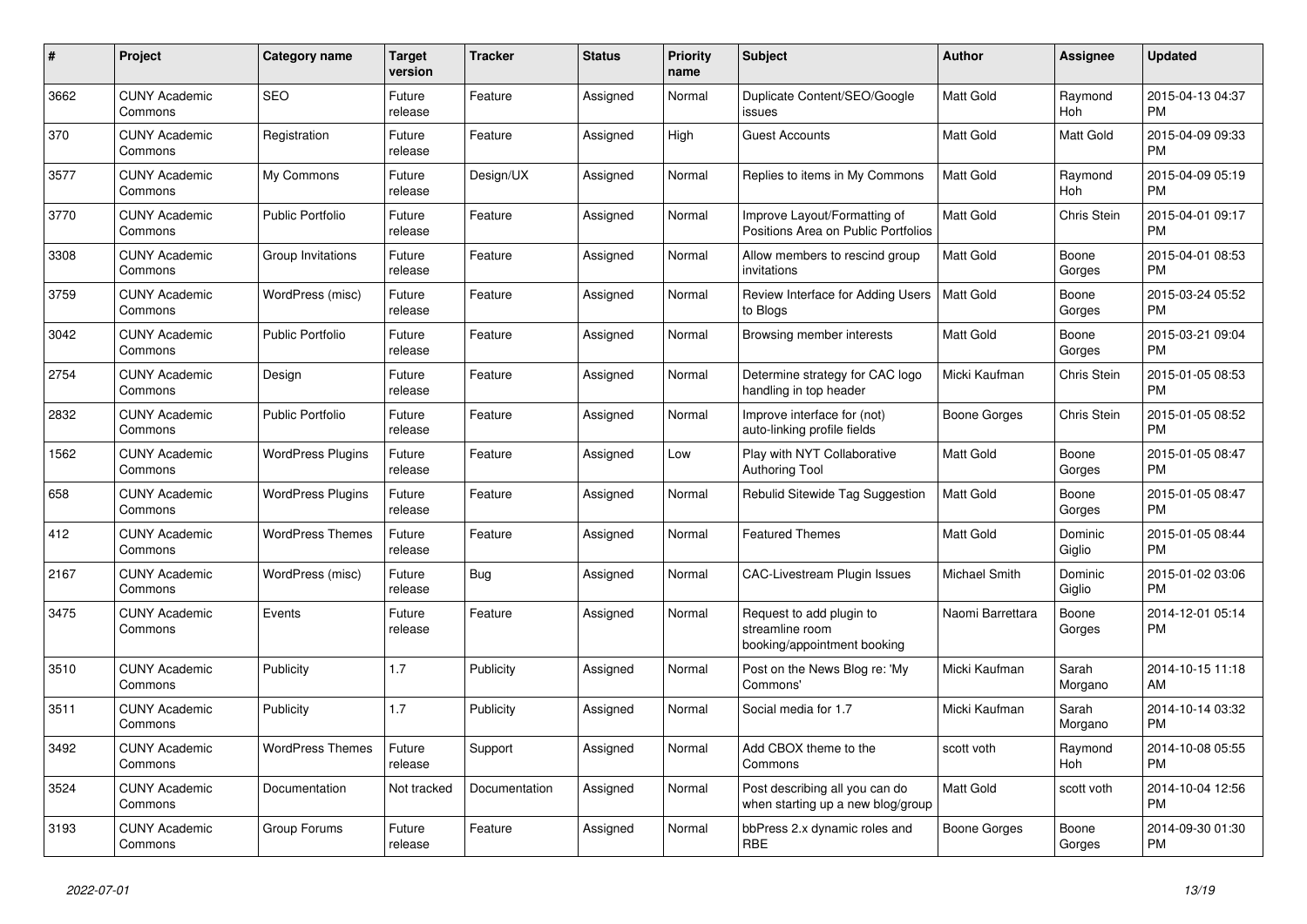| $\#$ | <b>Project</b>                  | Category name            | <b>Target</b><br>version | <b>Tracker</b> | <b>Status</b> | <b>Priority</b><br>name | <b>Subject</b>                                                             | <b>Author</b>    | Assignee           | <b>Updated</b>                |
|------|---------------------------------|--------------------------|--------------------------|----------------|---------------|-------------------------|----------------------------------------------------------------------------|------------------|--------------------|-------------------------------|
| 3662 | <b>CUNY Academic</b><br>Commons | <b>SEO</b>               | Future<br>release        | Feature        | Assigned      | Normal                  | Duplicate Content/SEO/Google<br>issues                                     | <b>Matt Gold</b> | Raymond<br>Hoh     | 2015-04-13 04:37<br><b>PM</b> |
| 370  | <b>CUNY Academic</b><br>Commons | Registration             | Future<br>release        | Feature        | Assigned      | High                    | <b>Guest Accounts</b>                                                      | Matt Gold        | Matt Gold          | 2015-04-09 09:33<br><b>PM</b> |
| 3577 | <b>CUNY Academic</b><br>Commons | My Commons               | Future<br>release        | Design/UX      | Assigned      | Normal                  | Replies to items in My Commons                                             | <b>Matt Gold</b> | Raymond<br>Hoh     | 2015-04-09 05:19<br><b>PM</b> |
| 3770 | <b>CUNY Academic</b><br>Commons | <b>Public Portfolio</b>  | Future<br>release        | Feature        | Assigned      | Normal                  | Improve Layout/Formatting of<br>Positions Area on Public Portfolios        | Matt Gold        | Chris Stein        | 2015-04-01 09:17<br><b>PM</b> |
| 3308 | <b>CUNY Academic</b><br>Commons | Group Invitations        | Future<br>release        | Feature        | Assigned      | Normal                  | Allow members to rescind group<br>invitations                              | Matt Gold        | Boone<br>Gorges    | 2015-04-01 08:53<br><b>PM</b> |
| 3759 | <b>CUNY Academic</b><br>Commons | WordPress (misc)         | Future<br>release        | Feature        | Assigned      | Normal                  | Review Interface for Adding Users<br>to Blogs                              | Matt Gold        | Boone<br>Gorges    | 2015-03-24 05:52<br><b>PM</b> |
| 3042 | <b>CUNY Academic</b><br>Commons | <b>Public Portfolio</b>  | Future<br>release        | Feature        | Assigned      | Normal                  | Browsing member interests                                                  | Matt Gold        | Boone<br>Gorges    | 2015-03-21 09:04<br><b>PM</b> |
| 2754 | <b>CUNY Academic</b><br>Commons | Design                   | Future<br>release        | Feature        | Assigned      | Normal                  | Determine strategy for CAC logo<br>handling in top header                  | Micki Kaufman    | <b>Chris Stein</b> | 2015-01-05 08:53<br><b>PM</b> |
| 2832 | <b>CUNY Academic</b><br>Commons | <b>Public Portfolio</b>  | Future<br>release        | Feature        | Assigned      | Normal                  | Improve interface for (not)<br>auto-linking profile fields                 | Boone Gorges     | Chris Stein        | 2015-01-05 08:52<br><b>PM</b> |
| 1562 | <b>CUNY Academic</b><br>Commons | <b>WordPress Plugins</b> | Future<br>release        | Feature        | Assigned      | Low                     | Play with NYT Collaborative<br>Authoring Tool                              | Matt Gold        | Boone<br>Gorges    | 2015-01-05 08:47<br><b>PM</b> |
| 658  | <b>CUNY Academic</b><br>Commons | <b>WordPress Plugins</b> | Future<br>release        | Feature        | Assigned      | Normal                  | Rebulid Sitewide Tag Suggestion                                            | <b>Matt Gold</b> | Boone<br>Gorges    | 2015-01-05 08:47<br><b>PM</b> |
| 412  | <b>CUNY Academic</b><br>Commons | <b>WordPress Themes</b>  | Future<br>release        | Feature        | Assigned      | Normal                  | <b>Featured Themes</b>                                                     | Matt Gold        | Dominic<br>Giglio  | 2015-01-05 08:44<br><b>PM</b> |
| 2167 | <b>CUNY Academic</b><br>Commons | WordPress (misc)         | Future<br>release        | Bug            | Assigned      | Normal                  | <b>CAC-Livestream Plugin Issues</b>                                        | Michael Smith    | Dominic<br>Giglio  | 2015-01-02 03:06<br><b>PM</b> |
| 3475 | <b>CUNY Academic</b><br>Commons | Events                   | Future<br>release        | Feature        | Assigned      | Normal                  | Request to add plugin to<br>streamline room<br>booking/appointment booking | Naomi Barrettara | Boone<br>Gorges    | 2014-12-01 05:14<br><b>PM</b> |
| 3510 | <b>CUNY Academic</b><br>Commons | Publicity                | 1.7                      | Publicity      | Assigned      | Normal                  | Post on the News Blog re: 'My<br>Commons'                                  | Micki Kaufman    | Sarah<br>Morgano   | 2014-10-15 11:18<br>AM        |
| 3511 | <b>CUNY Academic</b><br>Commons | Publicity                | 1.7                      | Publicity      | Assigned      | Normal                  | Social media for 1.7                                                       | Micki Kaufman    | Sarah<br>Morgano   | 2014-10-14 03:32<br><b>PM</b> |
| 3492 | <b>CUNY Academic</b><br>Commons | <b>WordPress Themes</b>  | Future<br>release        | Support        | Assigned      | Normal                  | Add CBOX theme to the<br>Commons                                           | scott voth       | Raymond<br>Hoh     | 2014-10-08 05:55<br><b>PM</b> |
| 3524 | <b>CUNY Academic</b><br>Commons | Documentation            | Not tracked              | Documentation  | Assigned      | Normal                  | Post describing all you can do<br>when starting up a new blog/group        | Matt Gold        | scott voth         | 2014-10-04 12:56<br><b>PM</b> |
| 3193 | <b>CUNY Academic</b><br>Commons | Group Forums             | Future<br>release        | Feature        | Assigned      | Normal                  | bbPress 2.x dynamic roles and<br><b>RBE</b>                                | Boone Gorges     | Boone<br>Gorges    | 2014-09-30 01:30<br><b>PM</b> |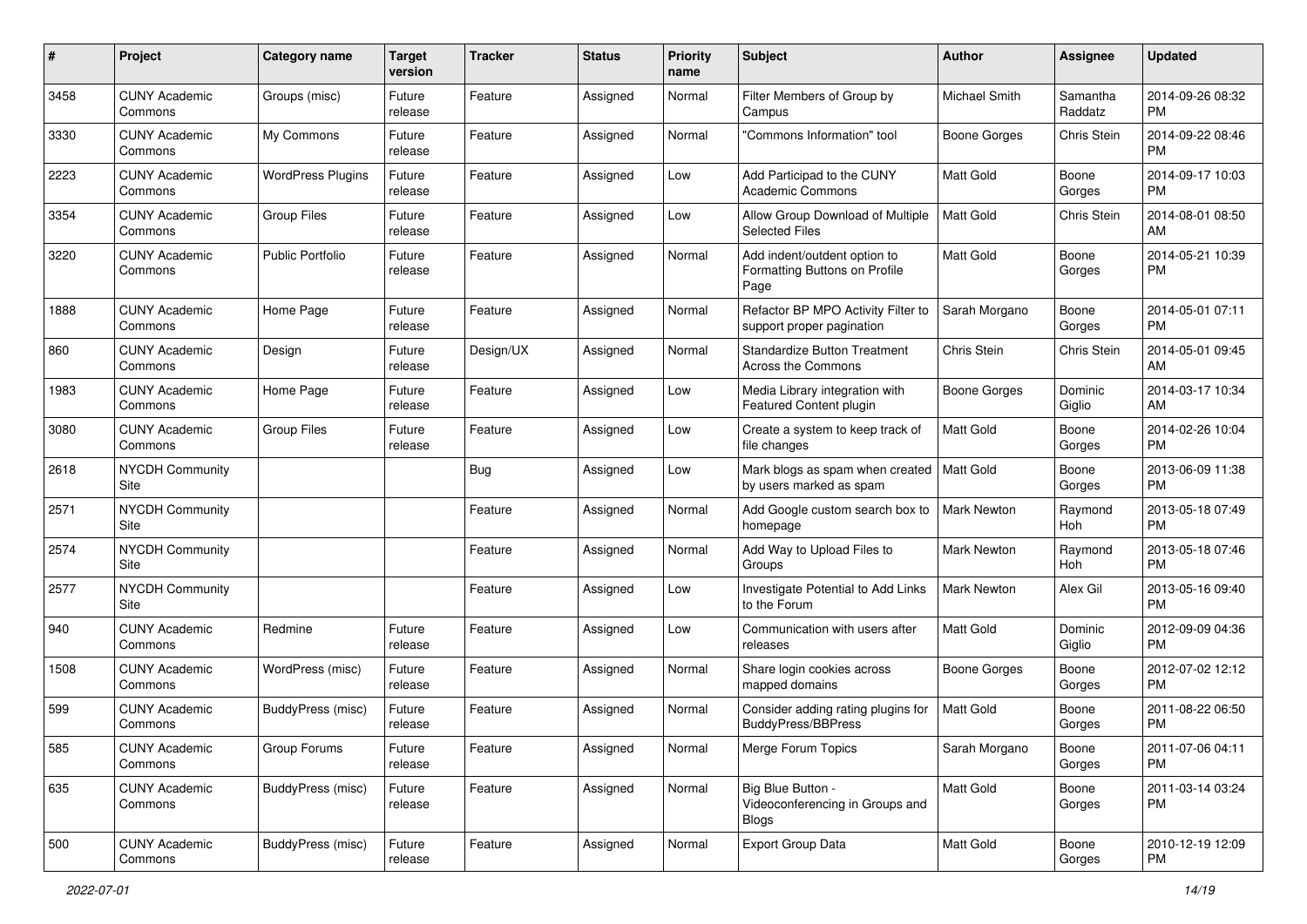| $\#$ | Project                         | <b>Category name</b>     | <b>Target</b><br>version | <b>Tracker</b> | <b>Status</b> | Priority<br>name | <b>Subject</b>                                                        | Author              | <b>Assignee</b>     | <b>Updated</b>                |
|------|---------------------------------|--------------------------|--------------------------|----------------|---------------|------------------|-----------------------------------------------------------------------|---------------------|---------------------|-------------------------------|
| 3458 | <b>CUNY Academic</b><br>Commons | Groups (misc)            | Future<br>release        | Feature        | Assigned      | Normal           | Filter Members of Group by<br>Campus                                  | Michael Smith       | Samantha<br>Raddatz | 2014-09-26 08:32<br>PM.       |
| 3330 | <b>CUNY Academic</b><br>Commons | My Commons               | Future<br>release        | Feature        | Assigned      | Normal           | "Commons Information" tool                                            | <b>Boone Gorges</b> | Chris Stein         | 2014-09-22 08:46<br><b>PM</b> |
| 2223 | <b>CUNY Academic</b><br>Commons | <b>WordPress Plugins</b> | Future<br>release        | Feature        | Assigned      | Low              | Add Participad to the CUNY<br><b>Academic Commons</b>                 | Matt Gold           | Boone<br>Gorges     | 2014-09-17 10:03<br><b>PM</b> |
| 3354 | <b>CUNY Academic</b><br>Commons | <b>Group Files</b>       | Future<br>release        | Feature        | Assigned      | Low              | Allow Group Download of Multiple<br><b>Selected Files</b>             | <b>Matt Gold</b>    | Chris Stein         | 2014-08-01 08:50<br>AM        |
| 3220 | <b>CUNY Academic</b><br>Commons | Public Portfolio         | Future<br>release        | Feature        | Assigned      | Normal           | Add indent/outdent option to<br>Formatting Buttons on Profile<br>Page | Matt Gold           | Boone<br>Gorges     | 2014-05-21 10:39<br><b>PM</b> |
| 1888 | <b>CUNY Academic</b><br>Commons | Home Page                | Future<br>release        | Feature        | Assigned      | Normal           | Refactor BP MPO Activity Filter to<br>support proper pagination       | Sarah Morgano       | Boone<br>Gorges     | 2014-05-01 07:11<br><b>PM</b> |
| 860  | <b>CUNY Academic</b><br>Commons | Design                   | Future<br>release        | Design/UX      | Assigned      | Normal           | <b>Standardize Button Treatment</b><br>Across the Commons             | Chris Stein         | Chris Stein         | 2014-05-01 09:45<br>AM        |
| 1983 | <b>CUNY Academic</b><br>Commons | Home Page                | Future<br>release        | Feature        | Assigned      | Low              | Media Library integration with<br>Featured Content plugin             | Boone Gorges        | Dominic<br>Giglio   | 2014-03-17 10:34<br>AM        |
| 3080 | <b>CUNY Academic</b><br>Commons | <b>Group Files</b>       | Future<br>release        | Feature        | Assigned      | Low              | Create a system to keep track of<br>file changes                      | <b>Matt Gold</b>    | Boone<br>Gorges     | 2014-02-26 10:04<br>PM.       |
| 2618 | <b>NYCDH Community</b><br>Site  |                          |                          | Bug            | Assigned      | Low              | Mark blogs as spam when created<br>by users marked as spam            | <b>Matt Gold</b>    | Boone<br>Gorges     | 2013-06-09 11:38<br><b>PM</b> |
| 2571 | <b>NYCDH Community</b><br>Site  |                          |                          | Feature        | Assigned      | Normal           | Add Google custom search box to<br>homepage                           | Mark Newton         | Raymond<br>Hoh      | 2013-05-18 07:49<br><b>PM</b> |
| 2574 | <b>NYCDH Community</b><br>Site  |                          |                          | Feature        | Assigned      | Normal           | Add Way to Upload Files to<br>Groups                                  | Mark Newton         | Raymond<br>Hoh      | 2013-05-18 07:46<br><b>PM</b> |
| 2577 | <b>NYCDH Community</b><br>Site  |                          |                          | Feature        | Assigned      | Low              | Investigate Potential to Add Links<br>to the Forum                    | Mark Newton         | Alex Gil            | 2013-05-16 09:40<br><b>PM</b> |
| 940  | <b>CUNY Academic</b><br>Commons | Redmine                  | Future<br>release        | Feature        | Assigned      | Low              | Communication with users after<br>releases                            | <b>Matt Gold</b>    | Dominic<br>Giglio   | 2012-09-09 04:36<br><b>PM</b> |
| 1508 | <b>CUNY Academic</b><br>Commons | WordPress (misc)         | Future<br>release        | Feature        | Assigned      | Normal           | Share login cookies across<br>mapped domains                          | <b>Boone Gorges</b> | Boone<br>Gorges     | 2012-07-02 12:12<br><b>PM</b> |
| 599  | <b>CUNY Academic</b><br>Commons | BuddyPress (misc)        | Future<br>release        | Feature        | Assigned      | Normal           | Consider adding rating plugins for<br><b>BuddyPress/BBPress</b>       | <b>Matt Gold</b>    | Boone<br>Gorges     | 2011-08-22 06:50<br><b>PM</b> |
| 585  | <b>CUNY Academic</b><br>Commons | Group Forums             | Future<br>release        | Feature        | Assigned      | Normal           | Merge Forum Topics                                                    | Sarah Morgano       | Boone<br>Gorges     | 2011-07-06 04:11<br>PM        |
| 635  | <b>CUNY Academic</b><br>Commons | BuddyPress (misc)        | Future<br>release        | Feature        | Assigned      | Normal           | Big Blue Button -<br>Videoconferencing in Groups and<br><b>Blogs</b>  | Matt Gold           | Boone<br>Gorges     | 2011-03-14 03:24<br><b>PM</b> |
| 500  | <b>CUNY Academic</b><br>Commons | <b>BuddyPress (misc)</b> | Future<br>release        | Feature        | Assigned      | Normal           | Export Group Data                                                     | Matt Gold           | Boone<br>Gorges     | 2010-12-19 12:09<br><b>PM</b> |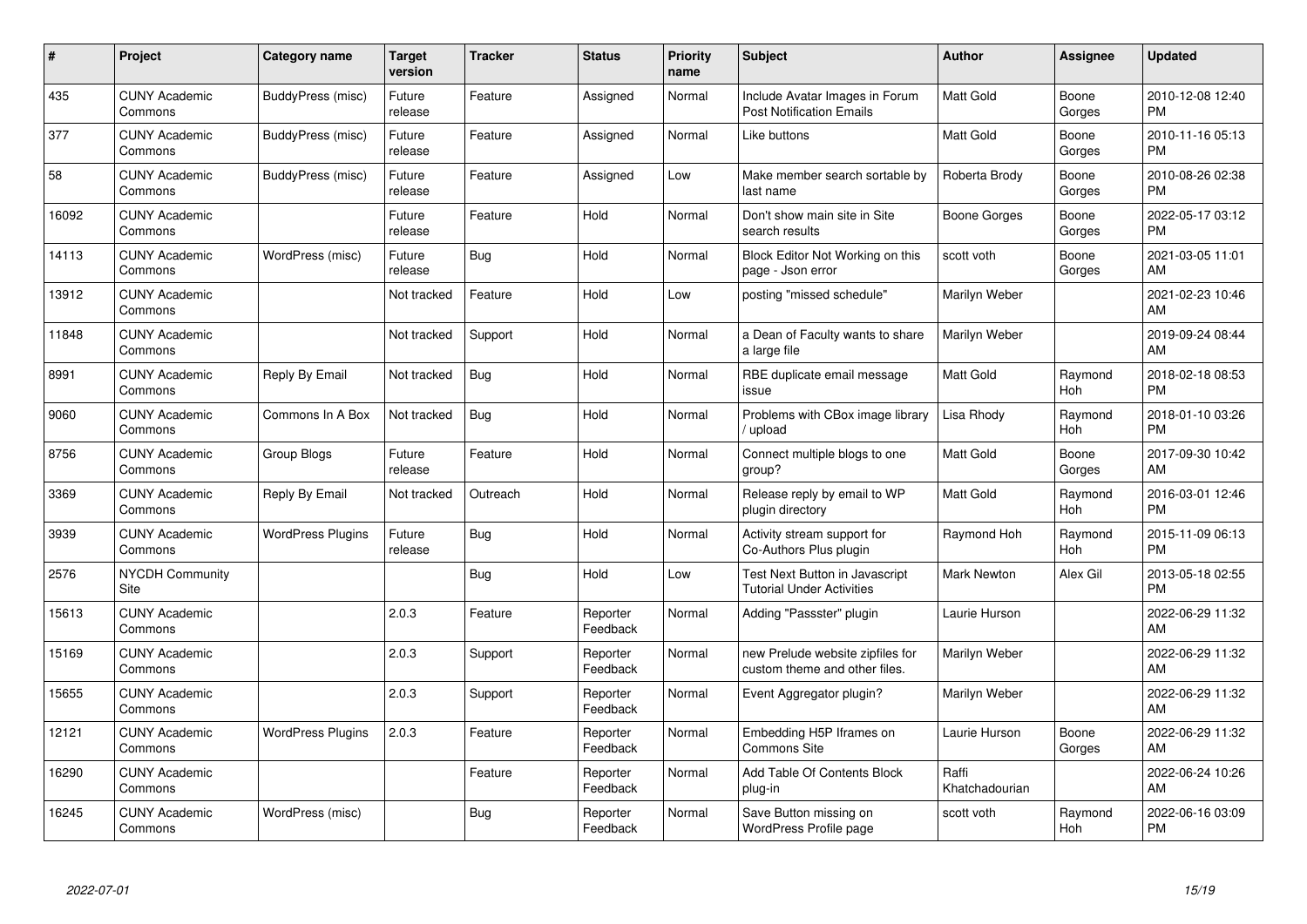| $\pmb{\#}$ | Project                         | Category name            | <b>Target</b><br>version | <b>Tracker</b> | <b>Status</b>        | <b>Priority</b><br>name | <b>Subject</b>                                                     | <b>Author</b>           | Assignee        | <b>Updated</b>                |
|------------|---------------------------------|--------------------------|--------------------------|----------------|----------------------|-------------------------|--------------------------------------------------------------------|-------------------------|-----------------|-------------------------------|
| 435        | <b>CUNY Academic</b><br>Commons | BuddyPress (misc)        | Future<br>release        | Feature        | Assigned             | Normal                  | Include Avatar Images in Forum<br><b>Post Notification Emails</b>  | <b>Matt Gold</b>        | Boone<br>Gorges | 2010-12-08 12:40<br><b>PM</b> |
| 377        | <b>CUNY Academic</b><br>Commons | BuddyPress (misc)        | Future<br>release        | Feature        | Assigned             | Normal                  | Like buttons                                                       | Matt Gold               | Boone<br>Gorges | 2010-11-16 05:13<br><b>PM</b> |
| 58         | <b>CUNY Academic</b><br>Commons | BuddyPress (misc)        | Future<br>release        | Feature        | Assigned             | Low                     | Make member search sortable by<br>last name                        | Roberta Brody           | Boone<br>Gorges | 2010-08-26 02:38<br><b>PM</b> |
| 16092      | <b>CUNY Academic</b><br>Commons |                          | Future<br>release        | Feature        | Hold                 | Normal                  | Don't show main site in Site<br>search results                     | Boone Gorges            | Boone<br>Gorges | 2022-05-17 03:12<br><b>PM</b> |
| 14113      | <b>CUNY Academic</b><br>Commons | WordPress (misc)         | Future<br>release        | Bug            | Hold                 | Normal                  | Block Editor Not Working on this<br>page - Json error              | scott voth              | Boone<br>Gorges | 2021-03-05 11:01<br>AM        |
| 13912      | <b>CUNY Academic</b><br>Commons |                          | Not tracked              | Feature        | Hold                 | Low                     | posting "missed schedule"                                          | Marilyn Weber           |                 | 2021-02-23 10:46<br>AM        |
| 11848      | <b>CUNY Academic</b><br>Commons |                          | Not tracked              | Support        | Hold                 | Normal                  | a Dean of Faculty wants to share<br>a large file                   | Marilyn Weber           |                 | 2019-09-24 08:44<br>AM        |
| 8991       | <b>CUNY Academic</b><br>Commons | Reply By Email           | Not tracked              | Bug            | Hold                 | Normal                  | RBE duplicate email message<br>issue                               | <b>Matt Gold</b>        | Raymond<br>Hoh  | 2018-02-18 08:53<br><b>PM</b> |
| 9060       | <b>CUNY Academic</b><br>Commons | Commons In A Box         | Not tracked              | Bug            | Hold                 | Normal                  | Problems with CBox image library<br>/ upload                       | Lisa Rhody              | Raymond<br>Hoh  | 2018-01-10 03:26<br><b>PM</b> |
| 8756       | <b>CUNY Academic</b><br>Commons | Group Blogs              | Future<br>release        | Feature        | Hold                 | Normal                  | Connect multiple blogs to one<br>group?                            | Matt Gold               | Boone<br>Gorges | 2017-09-30 10:42<br>AM        |
| 3369       | <b>CUNY Academic</b><br>Commons | Reply By Email           | Not tracked              | Outreach       | Hold                 | Normal                  | Release reply by email to WP<br>plugin directory                   | Matt Gold               | Raymond<br>Hoh  | 2016-03-01 12:46<br><b>PM</b> |
| 3939       | <b>CUNY Academic</b><br>Commons | <b>WordPress Plugins</b> | Future<br>release        | Bug            | Hold                 | Normal                  | Activity stream support for<br>Co-Authors Plus plugin              | Raymond Hoh             | Raymond<br>Hoh  | 2015-11-09 06:13<br><b>PM</b> |
| 2576       | <b>NYCDH Community</b><br>Site  |                          |                          | Bug            | Hold                 | Low                     | Test Next Button in Javascript<br><b>Tutorial Under Activities</b> | Mark Newton             | Alex Gil        | 2013-05-18 02:55<br><b>PM</b> |
| 15613      | <b>CUNY Academic</b><br>Commons |                          | 2.0.3                    | Feature        | Reporter<br>Feedback | Normal                  | Adding "Passster" plugin                                           | Laurie Hurson           |                 | 2022-06-29 11:32<br>AM        |
| 15169      | <b>CUNY Academic</b><br>Commons |                          | 2.0.3                    | Support        | Reporter<br>Feedback | Normal                  | new Prelude website zipfiles for<br>custom theme and other files.  | Marilyn Weber           |                 | 2022-06-29 11:32<br>AM        |
| 15655      | <b>CUNY Academic</b><br>Commons |                          | 2.0.3                    | Support        | Reporter<br>Feedback | Normal                  | Event Aggregator plugin?                                           | Marilyn Weber           |                 | 2022-06-29 11:32<br>AM        |
| 12121      | <b>CUNY Academic</b><br>Commons | <b>WordPress Plugins</b> | 2.0.3                    | Feature        | Reporter<br>Feedback | Normal                  | Embedding H5P Iframes on<br>Commons Site                           | Laurie Hurson           | Boone<br>Gorges | 2022-06-29 11:32<br>AM        |
| 16290      | <b>CUNY Academic</b><br>Commons |                          |                          | Feature        | Reporter<br>Feedback | Normal                  | Add Table Of Contents Block<br>plug-in                             | Raffi<br>Khatchadourian |                 | 2022-06-24 10:26<br>AM        |
| 16245      | <b>CUNY Academic</b><br>Commons | WordPress (misc)         |                          | <b>Bug</b>     | Reporter<br>Feedback | Normal                  | Save Button missing on<br>WordPress Profile page                   | scott voth              | Raymond<br>Hoh  | 2022-06-16 03:09<br>PM        |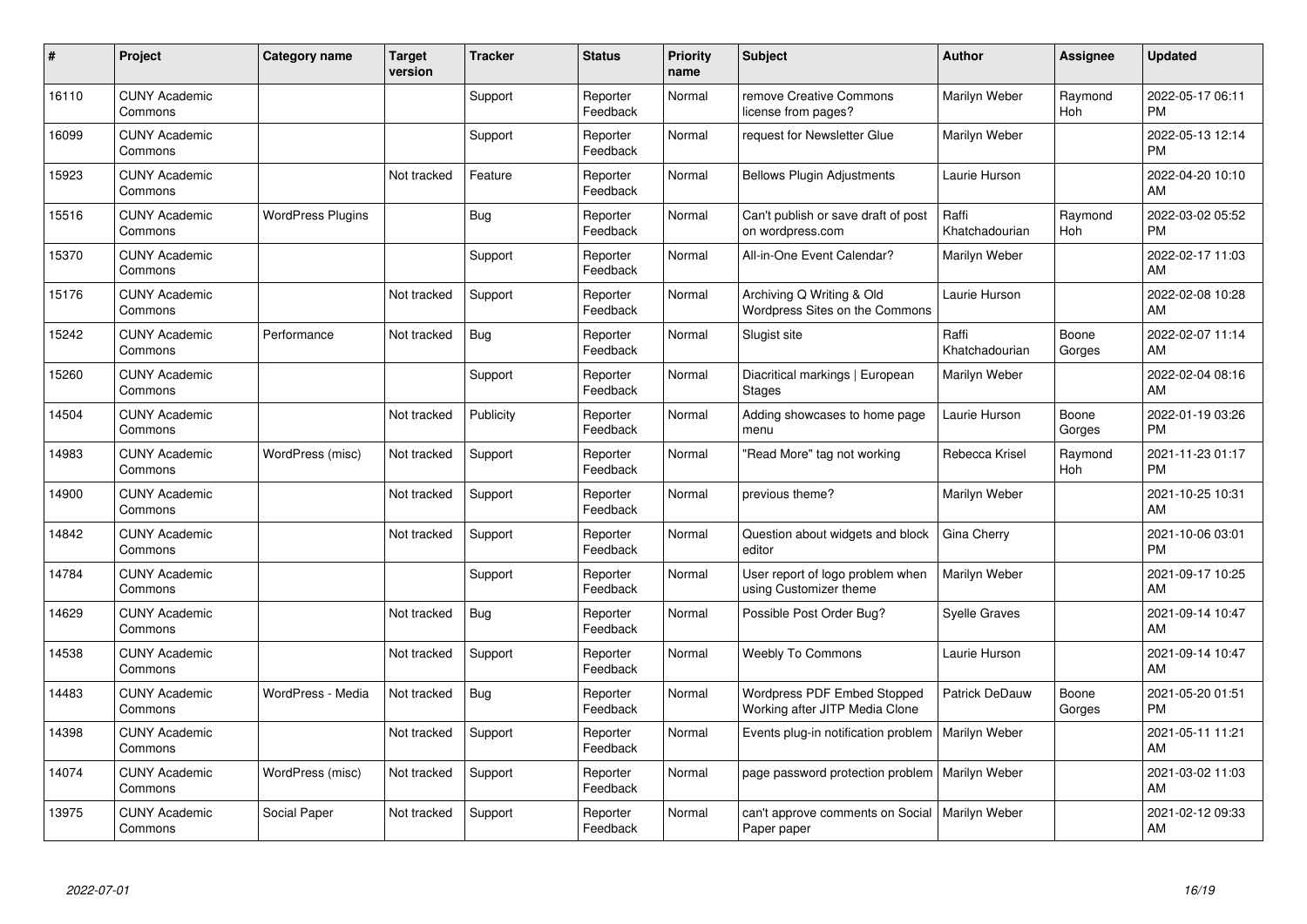| #     | Project                         | <b>Category name</b>     | <b>Target</b><br>version | <b>Tracker</b> | <b>Status</b>        | <b>Priority</b><br>name | <b>Subject</b>                                                       | <b>Author</b>           | <b>Assignee</b> | <b>Updated</b>                |
|-------|---------------------------------|--------------------------|--------------------------|----------------|----------------------|-------------------------|----------------------------------------------------------------------|-------------------------|-----------------|-------------------------------|
| 16110 | <b>CUNY Academic</b><br>Commons |                          |                          | Support        | Reporter<br>Feedback | Normal                  | remove Creative Commons<br>license from pages?                       | Marilyn Weber           | Raymond<br>Hoh  | 2022-05-17 06:11<br><b>PM</b> |
| 16099 | <b>CUNY Academic</b><br>Commons |                          |                          | Support        | Reporter<br>Feedback | Normal                  | request for Newsletter Glue                                          | Marilyn Weber           |                 | 2022-05-13 12:14<br><b>PM</b> |
| 15923 | <b>CUNY Academic</b><br>Commons |                          | Not tracked              | Feature        | Reporter<br>Feedback | Normal                  | <b>Bellows Plugin Adjustments</b>                                    | Laurie Hurson           |                 | 2022-04-20 10:10<br>AM        |
| 15516 | <b>CUNY Academic</b><br>Commons | <b>WordPress Plugins</b> |                          | <b>Bug</b>     | Reporter<br>Feedback | Normal                  | Can't publish or save draft of post<br>on wordpress.com              | Raffi<br>Khatchadourian | Raymond<br>Hoh  | 2022-03-02 05:52<br><b>PM</b> |
| 15370 | <b>CUNY Academic</b><br>Commons |                          |                          | Support        | Reporter<br>Feedback | Normal                  | All-in-One Event Calendar?                                           | Marilyn Weber           |                 | 2022-02-17 11:03<br>AM        |
| 15176 | <b>CUNY Academic</b><br>Commons |                          | Not tracked              | Support        | Reporter<br>Feedback | Normal                  | Archiving Q Writing & Old<br><b>Wordpress Sites on the Commons</b>   | Laurie Hurson           |                 | 2022-02-08 10:28<br>AM        |
| 15242 | <b>CUNY Academic</b><br>Commons | Performance              | Not tracked              | <b>Bug</b>     | Reporter<br>Feedback | Normal                  | Slugist site                                                         | Raffi<br>Khatchadourian | Boone<br>Gorges | 2022-02-07 11:14<br>AM        |
| 15260 | <b>CUNY Academic</b><br>Commons |                          |                          | Support        | Reporter<br>Feedback | Normal                  | Diacritical markings   European<br><b>Stages</b>                     | Marilyn Weber           |                 | 2022-02-04 08:16<br>AM        |
| 14504 | <b>CUNY Academic</b><br>Commons |                          | Not tracked              | Publicity      | Reporter<br>Feedback | Normal                  | Adding showcases to home page<br>menu                                | Laurie Hurson           | Boone<br>Gorges | 2022-01-19 03:26<br><b>PM</b> |
| 14983 | <b>CUNY Academic</b><br>Commons | WordPress (misc)         | Not tracked              | Support        | Reporter<br>Feedback | Normal                  | "Read More" tag not working                                          | Rebecca Krisel          | Raymond<br>Hoh  | 2021-11-23 01:17<br><b>PM</b> |
| 14900 | <b>CUNY Academic</b><br>Commons |                          | Not tracked              | Support        | Reporter<br>Feedback | Normal                  | previous theme?                                                      | Marilyn Weber           |                 | 2021-10-25 10:31<br>AM        |
| 14842 | <b>CUNY Academic</b><br>Commons |                          | Not tracked              | Support        | Reporter<br>Feedback | Normal                  | Question about widgets and block<br>editor                           | Gina Cherry             |                 | 2021-10-06 03:01<br><b>PM</b> |
| 14784 | <b>CUNY Academic</b><br>Commons |                          |                          | Support        | Reporter<br>Feedback | Normal                  | User report of logo problem when<br>using Customizer theme           | Marilyn Weber           |                 | 2021-09-17 10:25<br>AM        |
| 14629 | <b>CUNY Academic</b><br>Commons |                          | Not tracked              | Bug            | Reporter<br>Feedback | Normal                  | Possible Post Order Bug?                                             | Syelle Graves           |                 | 2021-09-14 10:47<br>AM        |
| 14538 | <b>CUNY Academic</b><br>Commons |                          | Not tracked              | Support        | Reporter<br>Feedback | Normal                  | <b>Weebly To Commons</b>                                             | Laurie Hurson           |                 | 2021-09-14 10:47<br>AM        |
| 14483 | <b>CUNY Academic</b><br>Commons | WordPress - Media        | Not tracked              | Bug            | Reporter<br>Feedback | Normal                  | <b>Wordpress PDF Embed Stopped</b><br>Working after JITP Media Clone | Patrick DeDauw          | Boone<br>Gorges | 2021-05-20 01:51<br><b>PM</b> |
| 14398 | <b>CUNY Academic</b><br>Commons |                          | Not tracked              | Support        | Reporter<br>Feedback | Normal                  | Events plug-in notification problem                                  | Marilyn Weber           |                 | 2021-05-11 11:21<br>AM        |
| 14074 | <b>CUNY Academic</b><br>Commons | WordPress (misc)         | Not tracked              | Support        | Reporter<br>Feedback | Normal                  | page password protection problem                                     | Marilyn Weber           |                 | 2021-03-02 11:03<br>AM        |
| 13975 | <b>CUNY Academic</b><br>Commons | Social Paper             | Not tracked              | Support        | Reporter<br>Feedback | Normal                  | can't approve comments on Social<br>Paper paper                      | Marilyn Weber           |                 | 2021-02-12 09:33<br>AM        |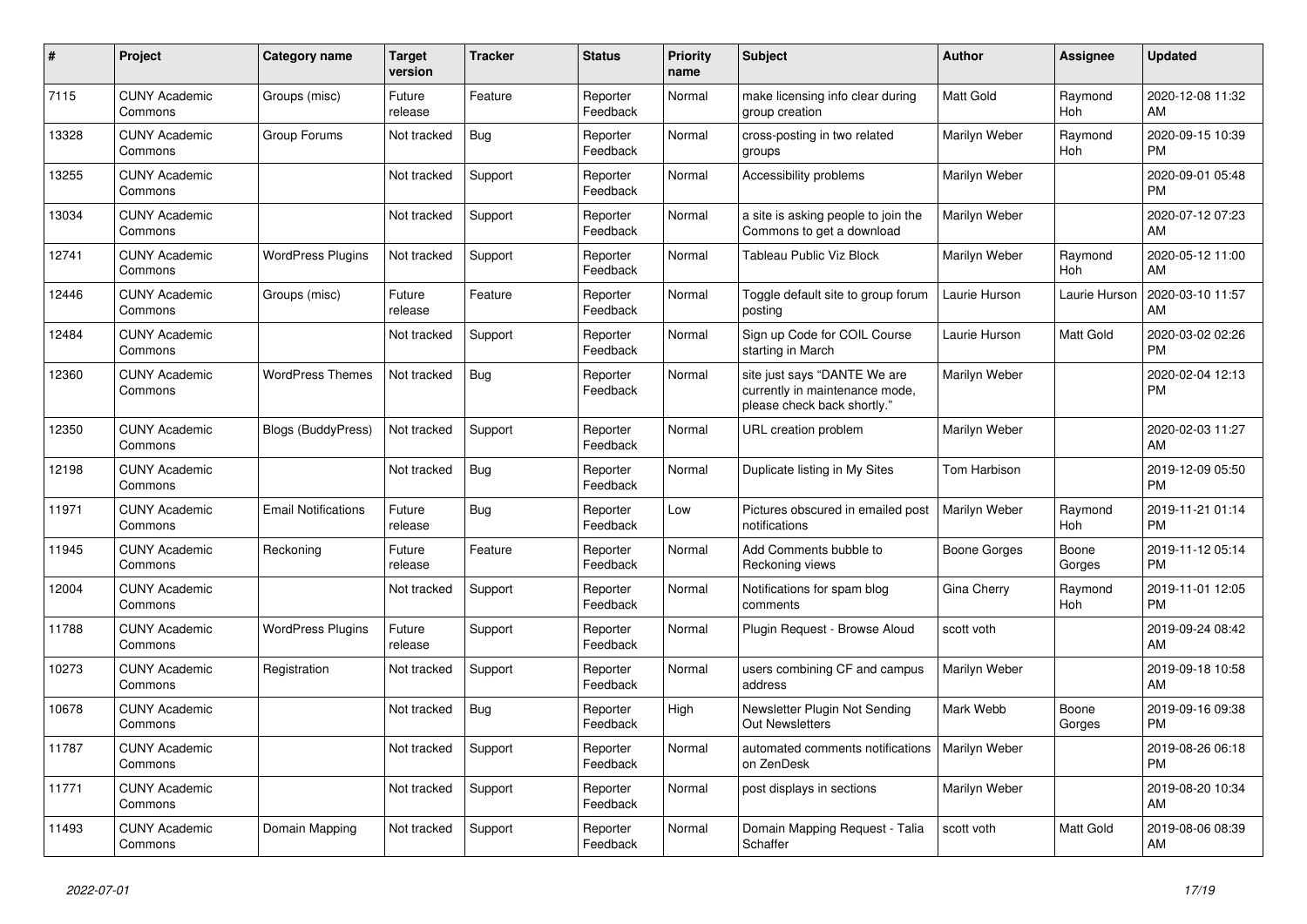| $\vert$ # | <b>Project</b>                  | Category name              | <b>Target</b><br>version | <b>Tracker</b> | <b>Status</b>        | Priority<br>name | <b>Subject</b>                                                                                | <b>Author</b>       | Assignee        | <b>Updated</b>                |
|-----------|---------------------------------|----------------------------|--------------------------|----------------|----------------------|------------------|-----------------------------------------------------------------------------------------------|---------------------|-----------------|-------------------------------|
| 7115      | <b>CUNY Academic</b><br>Commons | Groups (misc)              | Future<br>release        | Feature        | Reporter<br>Feedback | Normal           | make licensing info clear during<br>group creation                                            | <b>Matt Gold</b>    | Raymond<br>Hoh  | 2020-12-08 11:32<br>AM        |
| 13328     | <b>CUNY Academic</b><br>Commons | Group Forums               | Not tracked              | Bug            | Reporter<br>Feedback | Normal           | cross-posting in two related<br>groups                                                        | Marilyn Weber       | Raymond<br>Hoh  | 2020-09-15 10:39<br><b>PM</b> |
| 13255     | <b>CUNY Academic</b><br>Commons |                            | Not tracked              | Support        | Reporter<br>Feedback | Normal           | Accessibility problems                                                                        | Marilyn Weber       |                 | 2020-09-01 05:48<br><b>PM</b> |
| 13034     | <b>CUNY Academic</b><br>Commons |                            | Not tracked              | Support        | Reporter<br>Feedback | Normal           | a site is asking people to join the<br>Commons to get a download                              | Marilyn Weber       |                 | 2020-07-12 07:23<br>AM        |
| 12741     | <b>CUNY Academic</b><br>Commons | <b>WordPress Plugins</b>   | Not tracked              | Support        | Reporter<br>Feedback | Normal           | Tableau Public Viz Block                                                                      | Marilyn Weber       | Raymond<br>Hoh  | 2020-05-12 11:00<br>AM        |
| 12446     | <b>CUNY Academic</b><br>Commons | Groups (misc)              | Future<br>release        | Feature        | Reporter<br>Feedback | Normal           | Toggle default site to group forum<br>posting                                                 | Laurie Hurson       | Laurie Hurson   | 2020-03-10 11:57<br>AM        |
| 12484     | <b>CUNY Academic</b><br>Commons |                            | Not tracked              | Support        | Reporter<br>Feedback | Normal           | Sign up Code for COIL Course<br>starting in March                                             | Laurie Hurson       | Matt Gold       | 2020-03-02 02:26<br><b>PM</b> |
| 12360     | <b>CUNY Academic</b><br>Commons | <b>WordPress Themes</b>    | Not tracked              | <b>Bug</b>     | Reporter<br>Feedback | Normal           | site just says "DANTE We are<br>currently in maintenance mode,<br>please check back shortly." | Marilyn Weber       |                 | 2020-02-04 12:13<br><b>PM</b> |
| 12350     | <b>CUNY Academic</b><br>Commons | <b>Blogs (BuddyPress)</b>  | Not tracked              | Support        | Reporter<br>Feedback | Normal           | URL creation problem                                                                          | Marilyn Weber       |                 | 2020-02-03 11:27<br>AM        |
| 12198     | <b>CUNY Academic</b><br>Commons |                            | Not tracked              | Bug            | Reporter<br>Feedback | Normal           | Duplicate listing in My Sites                                                                 | <b>Tom Harbison</b> |                 | 2019-12-09 05:50<br><b>PM</b> |
| 11971     | <b>CUNY Academic</b><br>Commons | <b>Email Notifications</b> | Future<br>release        | Bug            | Reporter<br>Feedback | Low              | Pictures obscured in emailed post<br>notifications                                            | Marilyn Weber       | Raymond<br>Hoh  | 2019-11-21 01:14<br><b>PM</b> |
| 11945     | <b>CUNY Academic</b><br>Commons | Reckoning                  | Future<br>release        | Feature        | Reporter<br>Feedback | Normal           | Add Comments bubble to<br>Reckoning views                                                     | Boone Gorges        | Boone<br>Gorges | 2019-11-12 05:14<br><b>PM</b> |
| 12004     | <b>CUNY Academic</b><br>Commons |                            | Not tracked              | Support        | Reporter<br>Feedback | Normal           | Notifications for spam blog<br>comments                                                       | Gina Cherry         | Raymond<br>Hoh  | 2019-11-01 12:05<br><b>PM</b> |
| 11788     | <b>CUNY Academic</b><br>Commons | <b>WordPress Plugins</b>   | Future<br>release        | Support        | Reporter<br>Feedback | Normal           | Plugin Request - Browse Aloud                                                                 | scott voth          |                 | 2019-09-24 08:42<br>AM        |
| 10273     | <b>CUNY Academic</b><br>Commons | Registration               | Not tracked              | Support        | Reporter<br>Feedback | Normal           | users combining CF and campus<br>address                                                      | Marilyn Weber       |                 | 2019-09-18 10:58<br>AM        |
| 10678     | <b>CUNY Academic</b><br>Commons |                            | Not tracked              | Bug            | Reporter<br>Feedback | High             | Newsletter Plugin Not Sending<br><b>Out Newsletters</b>                                       | Mark Webb           | Boone<br>Gorges | 2019-09-16 09:38<br><b>PM</b> |
| 11787     | <b>CUNY Academic</b><br>Commons |                            | Not tracked              | Support        | Reporter<br>Feedback | Normal           | automated comments notifications<br>on ZenDesk                                                | Marilyn Weber       |                 | 2019-08-26 06:18<br><b>PM</b> |
| 11771     | <b>CUNY Academic</b><br>Commons |                            | Not tracked              | Support        | Reporter<br>Feedback | Normal           | post displays in sections                                                                     | Marilyn Weber       |                 | 2019-08-20 10:34<br>AM        |
| 11493     | <b>CUNY Academic</b><br>Commons | Domain Mapping             | Not tracked              | Support        | Reporter<br>Feedback | Normal           | Domain Mapping Request - Talia<br>Schaffer                                                    | scott voth          | Matt Gold       | 2019-08-06 08:39<br>AM        |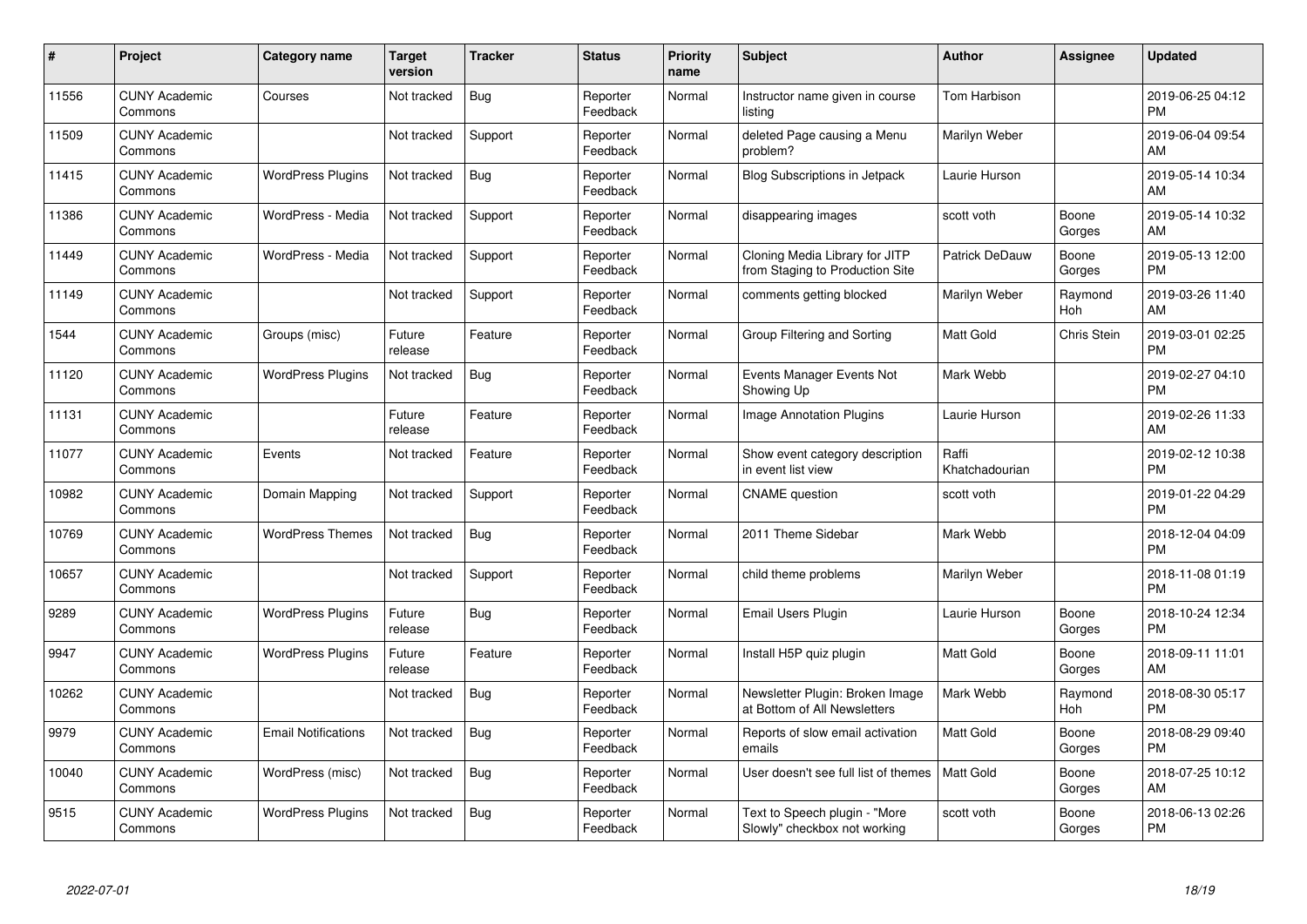| #     | Project                         | <b>Category name</b>       | <b>Target</b><br>version | <b>Tracker</b> | <b>Status</b>        | <b>Priority</b><br>name | <b>Subject</b>                                                    | <b>Author</b>           | Assignee        | <b>Updated</b>                |
|-------|---------------------------------|----------------------------|--------------------------|----------------|----------------------|-------------------------|-------------------------------------------------------------------|-------------------------|-----------------|-------------------------------|
| 11556 | <b>CUNY Academic</b><br>Commons | Courses                    | Not tracked              | Bug            | Reporter<br>Feedback | Normal                  | Instructor name given in course<br>listina                        | Tom Harbison            |                 | 2019-06-25 04:12<br><b>PM</b> |
| 11509 | <b>CUNY Academic</b><br>Commons |                            | Not tracked              | Support        | Reporter<br>Feedback | Normal                  | deleted Page causing a Menu<br>problem?                           | Marilyn Weber           |                 | 2019-06-04 09:54<br>AM        |
| 11415 | <b>CUNY Academic</b><br>Commons | <b>WordPress Plugins</b>   | Not tracked              | Bug            | Reporter<br>Feedback | Normal                  | <b>Blog Subscriptions in Jetpack</b>                              | Laurie Hurson           |                 | 2019-05-14 10:34<br>AM        |
| 11386 | <b>CUNY Academic</b><br>Commons | WordPress - Media          | Not tracked              | Support        | Reporter<br>Feedback | Normal                  | disappearing images                                               | scott voth              | Boone<br>Gorges | 2019-05-14 10:32<br>AM        |
| 11449 | <b>CUNY Academic</b><br>Commons | WordPress - Media          | Not tracked              | Support        | Reporter<br>Feedback | Normal                  | Cloning Media Library for JITP<br>from Staging to Production Site | <b>Patrick DeDauw</b>   | Boone<br>Gorges | 2019-05-13 12:00<br><b>PM</b> |
| 11149 | <b>CUNY Academic</b><br>Commons |                            | Not tracked              | Support        | Reporter<br>Feedback | Normal                  | comments getting blocked                                          | Marilyn Weber           | Raymond<br>Hoh  | 2019-03-26 11:40<br>AM        |
| 1544  | <b>CUNY Academic</b><br>Commons | Groups (misc)              | Future<br>release        | Feature        | Reporter<br>Feedback | Normal                  | Group Filtering and Sorting                                       | <b>Matt Gold</b>        | Chris Stein     | 2019-03-01 02:25<br><b>PM</b> |
| 11120 | <b>CUNY Academic</b><br>Commons | <b>WordPress Plugins</b>   | Not tracked              | <b>Bug</b>     | Reporter<br>Feedback | Normal                  | Events Manager Events Not<br>Showing Up                           | Mark Webb               |                 | 2019-02-27 04:10<br><b>PM</b> |
| 11131 | <b>CUNY Academic</b><br>Commons |                            | Future<br>release        | Feature        | Reporter<br>Feedback | Normal                  | Image Annotation Plugins                                          | Laurie Hurson           |                 | 2019-02-26 11:33<br>AM        |
| 11077 | <b>CUNY Academic</b><br>Commons | Events                     | Not tracked              | Feature        | Reporter<br>Feedback | Normal                  | Show event category description<br>in event list view             | Raffi<br>Khatchadourian |                 | 2019-02-12 10:38<br><b>PM</b> |
| 10982 | <b>CUNY Academic</b><br>Commons | Domain Mapping             | Not tracked              | Support        | Reporter<br>Feedback | Normal                  | <b>CNAME</b> question                                             | scott voth              |                 | 2019-01-22 04:29<br><b>PM</b> |
| 10769 | <b>CUNY Academic</b><br>Commons | <b>WordPress Themes</b>    | Not tracked              | <b>Bug</b>     | Reporter<br>Feedback | Normal                  | 2011 Theme Sidebar                                                | Mark Webb               |                 | 2018-12-04 04:09<br><b>PM</b> |
| 10657 | <b>CUNY Academic</b><br>Commons |                            | Not tracked              | Support        | Reporter<br>Feedback | Normal                  | child theme problems                                              | Marilyn Weber           |                 | 2018-11-08 01:19<br><b>PM</b> |
| 9289  | <b>CUNY Academic</b><br>Commons | <b>WordPress Plugins</b>   | Future<br>release        | Bug            | Reporter<br>Feedback | Normal                  | Email Users Plugin                                                | Laurie Hurson           | Boone<br>Gorges | 2018-10-24 12:34<br><b>PM</b> |
| 9947  | <b>CUNY Academic</b><br>Commons | <b>WordPress Plugins</b>   | Future<br>release        | Feature        | Reporter<br>Feedback | Normal                  | Install H5P quiz plugin                                           | <b>Matt Gold</b>        | Boone<br>Gorges | 2018-09-11 11:01<br>AM        |
| 10262 | <b>CUNY Academic</b><br>Commons |                            | Not tracked              | Bug            | Reporter<br>Feedback | Normal                  | Newsletter Plugin: Broken Image<br>at Bottom of All Newsletters   | Mark Webb               | Raymond<br>Hoh  | 2018-08-30 05:17<br><b>PM</b> |
| 9979  | <b>CUNY Academic</b><br>Commons | <b>Email Notifications</b> | Not tracked              | Bug            | Reporter<br>Feedback | Normal                  | Reports of slow email activation<br>emails                        | Matt Gold               | Boone<br>Gorges | 2018-08-29 09:40<br><b>PM</b> |
| 10040 | <b>CUNY Academic</b><br>Commons | WordPress (misc)           | Not tracked              | <b>Bug</b>     | Reporter<br>Feedback | Normal                  | User doesn't see full list of themes                              | Matt Gold               | Boone<br>Gorges | 2018-07-25 10:12<br>AM        |
| 9515  | <b>CUNY Academic</b><br>Commons | <b>WordPress Plugins</b>   | Not tracked              | <b>Bug</b>     | Reporter<br>Feedback | Normal                  | Text to Speech plugin - "More<br>Slowly" checkbox not working     | scott voth              | Boone<br>Gorges | 2018-06-13 02:26<br>PM        |